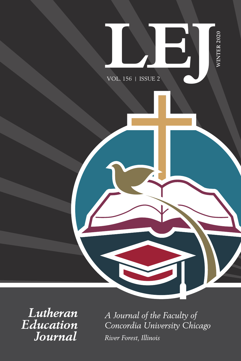

*Lutheran Education Journal* 

*A Journal of the Faculty of Concordia University Chicago River Forest, Illinois*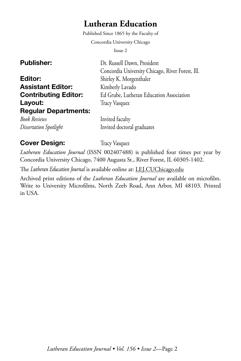# **Lutheran Education**

Published Since 1865 by the Faculty of

Concordia University Chicago

Issue 2

| <b>Publisher:</b>           |
|-----------------------------|
| Editor:                     |
| <b>Assistant Editor:</b>    |
| <b>Contributing Editor:</b> |
| Layout:                     |
| <b>Regular Departments:</b> |
|                             |

Dr. Russell Dawn, President Concordia University Chicago, River Forest, Ill. Shirley K. Morgenthaler Kimberly Lavado Ed Grube, Lutheran Education Association Tracy Vasquez

*Book Reviews* Invited faculty *Dissertation Spotlight* Invited doctoral graduates

### **Cover Design:** Tracy Vasquez

*Lutheran Education Journal* (ISSN 002407488) is published four times per year by Concordia University Chicago, 7400 Augusta St., River Forest, IL 60305-1402.

The *Lutheran Education Journal* is available online at: [LEJ.CUChicago.edu](https://lej.cuchicago.edu/)

Archived print editions of the *Lutheran Education Journal* are available on microfilm. Write to University Microfilms, North Zeeb Road, Ann Arbor, MI 48103. Printed in USA.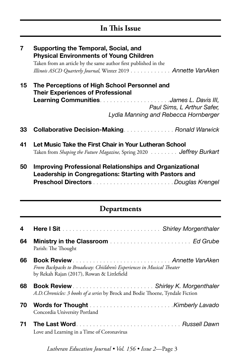# **In This Issue**

| $\overline{7}$ | Supporting the Temporal, Social, and<br><b>Physical Environments of Young Children</b><br>Taken from an article by the same author first published in the<br>Illinois ASCD Quarterly Journal, Winter 2019 Annette VanAken |
|----------------|---------------------------------------------------------------------------------------------------------------------------------------------------------------------------------------------------------------------------|
| 15             | The Perceptions of High School Personnel and<br><b>Their Experiences of Professional</b><br>Paul Sims, L Arthur Safer,<br>Lydia Manning and Rebecca Hornberger                                                            |
| 33             | <b>Collaborative Decision-Making Ronald Warwick</b>                                                                                                                                                                       |
| 41             | Let Music Take the First Chair in Your Lutheran School<br>Taken from Shaping the Future Magazine, Spring 2020 Jeffrey Burkart                                                                                             |
| 50             | <b>Improving Professional Relationships and Organizational</b><br>Leadership in Congregations: Starting with Pastors and                                                                                                  |
|                | Departments                                                                                                                                                                                                               |
| 4              |                                                                                                                                                                                                                           |
| 64             | Parish: The Thought                                                                                                                                                                                                       |
| 66             |                                                                                                                                                                                                                           |
|                | Book Review  Annette VanAken<br>From Backpacks to Broadway: Chiildren's Experiences in Musical Theater<br>by Rekah Rajan (2017), Rowan & Littlefield                                                                      |
| 68             | A.D. Chronicles: 3 books of a series by Brock and Bodie Thoene, Tyndale Fiction                                                                                                                                           |
| 70             | Concordia University Portland                                                                                                                                                                                             |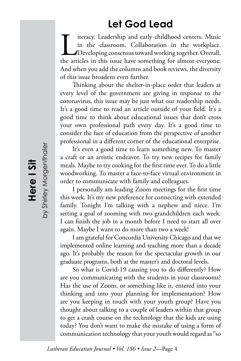# **Let God Lead**

I iteracy. Leadership and early childhood centers. Music in the classroom. Collaboration in the workplace.<br>Developing consensus toward working together. Overall, the articles in this issue have something for almost everyon in the classroom. Collaboration in the workplace. Developing consensus toward working together. Overall, And when you add the columns and book reviews, the diversity of this issue broadens even further.

Thinking about the shelter-in-place order that leaders at every level of the government are giving in response to the coronavirus, this issue may be just what our readership needs. It's a good time to read an article outside of your field. It's a good time to think about educational issues that don't cross your own professional path every day. It's a good time to consider the face of education from the perspective of another professional in a different corner of the educational enterprise.

It's even a good time to learn something new. To master a craft or an artistic endeavor. To try new recipes for family meals. Maybe to try cooking for the first time ever. To do a little woodworking. To master a face-to-face virtual environment in order to communicate with family and colleagues.

I personally am leading Zoom meetings for the first time this week. It's my new preference for connecting with extended family. Tonight I'm talking with a nephew and niece. I'm setting a goal of zooming with two grandchildren each week. I can finish the job in a month before I need to start all over again. Maybe I want to do more than two a week!

I am grateful for Concordia University Chicago and that we implemented online learning and teaching more than a decade ago. It's probably the reason for the spectacular growth in our graduate programs, both at the master's and doctoral levels.

So what is Covid-19 causing you to do differently? How are you communicating with the students in your classrooms? Has the use of Zoom, or something like it, entered into your thinking and into your planning for implementation? How are you keeping in touch with your youth group? Have you thought about talking to a couple of leaders within that group to get a crash course on the technology that the kids are using today? You don't want to make the mistake of using a form of communication technology that your youth would regard as "so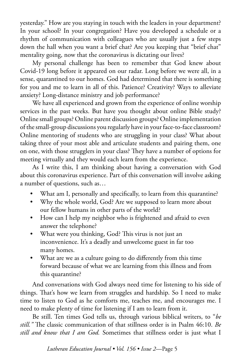yesterday." How are you staying in touch with the leaders in your department? In your school? In your congregation? Have you developed a schedule or a rhythm of communication with colleagues who are usually just a few steps down the hall when you want a brief chat? Are you keeping that "brief chat" mentality going, now that the coronavirus is dictating our lives?

My personal challenge has been to remember that God knew about Covid-19 long before it appeared on our radar. Long before we were all, in a sense, quarantined to our homes. God had determined that there is something for you and me to learn in all of this. Patience? Creativity? Ways to alleviate anxiety? Long-distance ministry and job performance?

We have all experienced and grown from the experience of online worship services in the past weeks. But have you thought about online Bible study? Online small groups? Online parent discussion groups? Online implementation of the small-group discussions you regularly have in your face-to-face classroom? Online mentoring of students who are struggling in your class? What about taking three of your most able and articulate students and pairing them, one on one, with those strugglers in your class? They have a number of options for meeting virtually and they would each learn from the experience.

As I write this, I am thinking about having a conversation with God about this coronavirus experience. Part of this conversation will involve asking a number of questions, such as…

- What am I, personally and specifically, to learn from this quarantine?
- Why the whole world, God? Are we supposed to learn more about our fellow humans in other parts of the world?
- How can I help my neighbor who is frightened and afraid to even answer the telephone?
- What were you thinking, God? This virus is not just an inconvenience. It's a deadly and unwelcome guest in far too many homes.
- What are we as a culture going to do differently from this time forward because of what we are learning from this illness and from this quarantine?

And conversations with God always need time for listening to his side of things. That's how we learn from struggles and hardship. So I need to make time to listen to God as he comforts me, teaches me, and encourages me. I need to make plenty of time for listening if I am to learn from it.

Be still. Ten times God tells us, through various biblical writers, to "*be still."* The classic communication of that stillness order is in Psalm 46:10. *Be still and know that I am God.* Sometimes that stillness order is just what I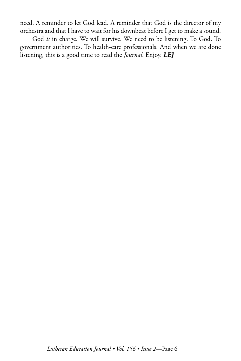need. A reminder to let God lead. A reminder that God is the director of my orchestra and that I have to wait for his downbeat before I get to make a sound.

God *is* in charge. We will survive. We need to be listening. To God. To government authorities. To health-care professionals. And when we are done listening, this is a good time to read the *Journal*. Enjoy. **LEJ**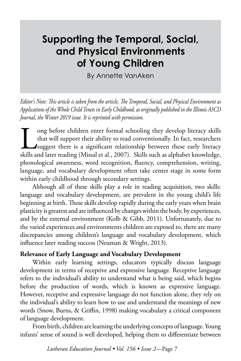# **Supporting the Temporal, Social, and Physical Environments of Young Children**

By Annette VanAken

*Editor's Note: This article is taken from the article, The Temporal, Social, and Physical Environment as Applications of the Whole Child Tenets in Early Childhood, as originally published in the Illinois ASCD Journal, the Winter 2019 issue. It is reprinted with permission.* 

Im that will support their ability to read conventionally. In fact, researchers<br>suggest there is a significant relationship between these early literacy<br>skills and later reading (Missal et al., 2007). Skills such as alphab that will support their ability to read conventionally. In fact, researchers **J** suggest there is a significant relationship between these early literacy skills and later reading (Missal et al., 2007). Skills such as alphabet knowledge, phonological awareness, word recognition, fluency, comprehension, writing, language, and vocabulary development often take center stage in some form within early childhood through secondary settings.

Although all of these skills play a role in reading acquisition, two skills: language and vocabulary development, are prevalent in the young child's life beginning at birth. These skills develop rapidly during the early years when brain plasticity is greatest and are influenced by changes within the body, by experiences, and by the external environment (Kolb & Gibb, 2011). Unfortunately, due to the varied experiences and environments children are exposed to, there are many discrepancies among children's language and vocabulary development, which influence later reading success (Neuman & Wright, 2013).

#### **Relevance of Early Language and Vocabulary Development**

Within early learning settings, educators typically discuss language development in terms of receptive and expressive language. Receptive language refers to the individual's ability to understand what is being said, which begins before the production of words, which is known as expressive language. However, receptive and expressive language do not function alone, they rely on the individual's ability to learn how to use and understand the meanings of new words (Snow, Burns, & Griffin, 1998) making vocabulary a critical component of language development.

From birth, children are learning the underlying concepts of language. Young infants' sense of sound is well developed, helping them to differentiate between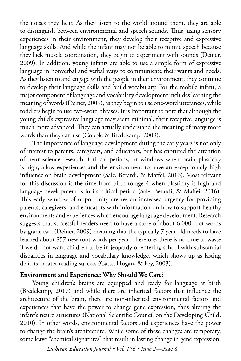the noises they hear. As they listen to the world around them, they are able to distinguish between environmental and speech sounds. Thus, using sensory experiences in their environment, they develop their receptive and expressive language skills. And while the infant may not be able to mimic speech because they lack muscle coordination, they begin to experiment with sounds (Deiner, 2009). In addition, young infants are able to use a simple form of expressive language in nonverbal and verbal ways to communicate their wants and needs. As they listen to and engage with the people in their environment, they continue to develop their language skills and build vocabulary. For the mobile infant, a major component of language and vocabulary development includes learning the meaning of words (Deiner, 2009), as they begin to use one-word utterances, while toddlers begin to use two-word phrases. It is important to note that although the young child's expressive language may seem minimal, their receptive language is much more advanced. They can actually understand the meaning of many more words than they can use (Copple & Bredekamp, 2009).

The importance of language development during the early years is not only of interest to parents, caregivers, and educators, but has captured the attention of neuroscience research. Critical periods, or windows when brain plasticity is high, allow experiences and the environment to have an exceptionally high influence on brain development (Sale, Berardi, & Maffei, 2016). Most relevant for this discussion is the time from birth to age 4 when plasticity is high and language development is in its critical period (Sale, Berardi, & Maffei, 2016). This early window of opportunity creates an increased urgency for providing parents, caregivers, and educators with information on how to support healthy environments and experiences which encourage language development. Research suggests that successful readers need to have a store of about 6,000 root words by grade two (Deiner, 2009) meaning that the typically 7 year old needs to have learned about 857 new root words per year. Therefore, there is no time to waste if we do not want children to be in jeopardy of entering school with substantial disparities in language and vocabulary knowledge, which shows up as lasting deficits in later reading success (Catts, Hogan, & Fey, 2003).

#### **Environment and Experience: Why Should We Care?**

Young children's brains are equipped and ready for language at birth (Bredekamp, 2017) and while there are inherited factors that influence the architecture of the brain, there are non-inherited environmental factors and experiences that have the power to change gene expression, thus altering the infant's neuro structures (National Scientific Council on the Developing Child, 2010). In other words, environmental factors and experiences have the power to change the brain's architecture. While some of these changes are temporary, some leave "chemical signatures" that result in lasting change in gene expression.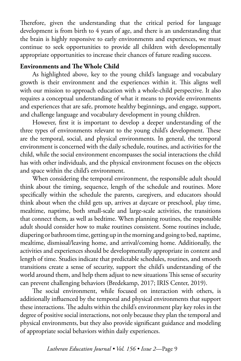Therefore, given the understanding that the critical period for language development is from birth to 4 years of age, and there is an understanding that the brain is highly responsive to early environments and experiences, we must continue to seek opportunities to provide all children with developmentally appropriate opportunities to increase their chances of future reading success.

#### **Environments and The Whole Child**

As highlighted above, key to the young child's language and vocabulary growth is their environment and the experiences within it. This aligns well with our mission to approach education with a whole-child perspective. It also requires a conceptual understanding of what it means to provide environments and experiences that are safe, promote healthy beginnings, and engage, support, and challenge language and vocabulary development in young children.

However, first it is important to develop a deeper understanding of the three types of environments relevant to the young child's development. These are the temporal, social, and physical environments. In general, the temporal environment is concerned with the daily schedule, routines, and activities for the child, while the social environment encompasses the social interactions the child has with other individuals, and the physical environment focuses on the objects and space within the child's environment.

When considering the temporal environment, the responsible adult should think about the timing, sequence, length of the schedule and routines. More specifically within the schedule the parents, caregivers, and educators should think about when the child gets up, arrives at daycare or preschool, play time, mealtime, naptime, both small-scale and large-scale activities, the transitions that connect them, as well as bedtime. When planning routines, the responsible adult should consider how to make routines consistent. Some routines include, diapering or bathroom time, getting up in the morning and going to bed, naptime, mealtime, dismissal/leaving home, and arrival/coming home. Additionally, the activities and experiences should be developmentally appropriate in content and length of time. Studies indicate that predictable schedules, routines, and smooth transitions create a sense of security, support the child's understanding of the world around them, and help them adjust to new situations This sense of security can prevent challenging behaviors (Bredekamp, 2017; IRIS Center, 2019).

The social environment, while focused on interaction with others, is additionally influenced by the temporal and physical environments that support these interactions. The adults within the child's environment play key roles in the degree of positive social interactions, not only because they plan the temporal and physical environments, but they also provide significant guidance and modeling of appropriate social behaviors within daily experiences.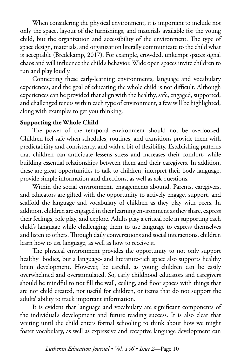When considering the physical environment, it is important to include not only the space, layout of the furnishings, and materials available for the young child, but the organization and accessibility of the environment. The type of space design, materials, and organization literally communicate to the child what is acceptable (Bredekamp, 2017). For example, crowded, unkempt spaces signal chaos and will influence the child's behavior. Wide open spaces invite children to run and play loudly.

Connecting these early-learning environments, language and vocabulary experiences, and the goal of educating the whole child is not difficult. Although experiences can be provided that align with the healthy, safe, engaged, supported, and challenged tenets within each type of environment, a few will be highlighted, along with examples to get you thinking.

#### **Supporting the Whole Child**

The power of the temporal environment should not be overlooked. Children feel safe when schedules, routines, and transitions provide them with predictability and consistency, and with a bit of flexibility. Establishing patterns that children can anticipate lessens stress and increases their comfort, while building essential relationships between them and their caregivers. In addition, these are great opportunities to talk to children, interpret their body language, provide simple information and directions, as well as ask questions.

Within the social environment, engagements abound. Parents, caregivers, and educators are gifted with the opportunity to actively engage, support, and scaffold the language and vocabulary of children as they play with peers. In addition, children are engaged in their learning environment as they share, express their feelings, role play, and explore. Adults play a critical role in supporting each child's language while challenging them to use language to express themselves and listen to others. Through daily conversations and social interactions, children learn how to use language, as well as how to receive it.

The physical environment provides the opportunity to not only support healthy bodies, but a language- and literature-rich space also supports healthy brain development. However, be careful, as young children can be easily overwhelmed and overstimulated. So, early childhood educators and caregivers should be mindful to not fill the wall, ceiling, and floor spaces with things that are not child created, not useful for children, or items that do not support the adults' ability to track important information.

It is evident that language and vocabulary are significant components of the individual's development and future reading success. It is also clear that waiting until the child enters formal schooling to think about how we might foster vocabulary, as well as expressive and receptive language development can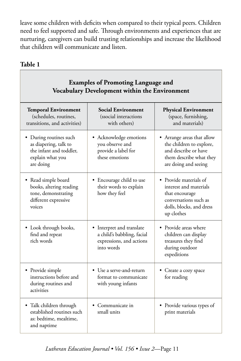leave some children with deficits when compared to their typical peers. Children need to feel supported and safe. Through environments and experiences that are nurturing, caregivers can build trusting relationships and increase the likelihood that children will communicate and listen.

#### **Table 1**

Г

| <b>Examples of Promoting Language and</b><br>Vocabulary Development within the Environment                  |                                                                                                   |                                                                                                                                       |  |
|-------------------------------------------------------------------------------------------------------------|---------------------------------------------------------------------------------------------------|---------------------------------------------------------------------------------------------------------------------------------------|--|
| <b>Temporal Environment</b><br>(schedules, routines,<br>transitions, and activities)                        | <b>Social Environment</b><br>(ssocial interactions<br>with others)                                | <b>Physical Environment</b><br>(space, furnishing,<br>and materials)                                                                  |  |
| • During routines such<br>as diapering, talk to<br>the infant and toddler,<br>explain what you<br>are doing | • Acknowledge emotions<br>you observe and<br>provide a label for<br>these emotions                | • Arrange areas that allow<br>the children to explore,<br>and describe or have<br>them describe what they<br>are doing and seeing     |  |
| • Read simple board<br>books, altering reading<br>tone, demonstrating<br>different expressive<br>voices     | • Encourage child to use<br>their words to explain<br>how they feel                               | • Provide materials of<br>interest and materials<br>that encourage<br>conversations such as<br>dolls, blocks, and dress<br>up clothes |  |
| • Look through books,<br>find and repeat<br>rich words                                                      | • Interpret and translate<br>a child's babbling, facial<br>expressions, and actions<br>into words | • Provide areas where<br>children can display<br>treasures they find<br>during outdoor<br>expeditions                                 |  |
| • Provide simple<br>instructions before and<br>during routines and<br>activities                            | • Use a serve-and-return<br>format to communicate<br>with young infants                           | • Create a cozy space<br>for reading                                                                                                  |  |
| • Talk children through<br>established routines such<br>as: bedtime, mealtime,<br>and naptime               | • Communicate in<br>small units                                                                   | • Provide various types of<br>print materials                                                                                         |  |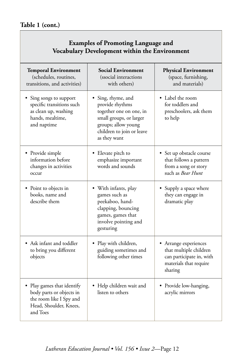```
Table 1 (cont.)
```
### **Examples of Promoting Language and Vocabulary Development within the Environment**

| <b>Temporal Environment</b><br>(schedules, routines,<br>transitions, and activities)                                    | <b>Social Environment</b><br>(ssocial interactions<br>with others)                                                                                              | <b>Physical Environment</b><br>(space, furnishing,<br>and materials)                                             |
|-------------------------------------------------------------------------------------------------------------------------|-----------------------------------------------------------------------------------------------------------------------------------------------------------------|------------------------------------------------------------------------------------------------------------------|
| Sing songs to support<br>specific transitions such<br>as clean up, washing<br>hands, mealtime,<br>and naptime           | • Sing, rhyme, and<br>provide rhythms<br>together one on one, in<br>small groups, or larger<br>groups; allow young<br>children to join or leave<br>as they want | • Label the room<br>for toddlers and<br>preschoolers, ask them<br>to help                                        |
| • Provide simple<br>information before<br>changes in activities<br>occur                                                | • Elevate pitch to<br>emphasize important<br>words and sounds                                                                                                   | • Set up obstacle course<br>that follows a pattern<br>from a song or story<br>such as Bear Hunt                  |
| • Point to objects in<br>books, name and<br>describe them                                                               | • With infants, play<br>games such as<br>peekaboo, hand-<br>clapping, bouncing<br>games, games that<br>involve pointing and<br>gesturing                        | • Supply a space where<br>they can engage in<br>dramatic play                                                    |
| • Ask infant and toddler<br>to bring you different<br>objects                                                           | • Play with children,<br>guiding sometimes and<br>following other times                                                                                         | • Arrange experiences<br>that multiple children<br>can participate in, with<br>materials that require<br>sharing |
| • Play games that identify<br>body parts or objects in<br>the room like I Spy and<br>Head, Shoulder, Knees,<br>and Toes | • Help children wait and<br>listen to others                                                                                                                    | • Provide low-hanging,<br>acrylic mirrors                                                                        |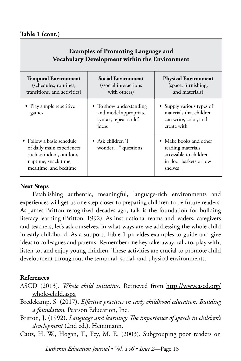#### **Table 1 (cont.)**

#### **Examples of Promoting Language and Vocabulary Development within the Environment**

| <b>Temporal Environment</b><br>(schedules, routines,<br>transitions, and activities)                                                | Social Environment<br>(ssocial interactions)<br>with others)                        | <b>Physical Environment</b><br>(space, furnishing,<br>and materials)                                        |  |
|-------------------------------------------------------------------------------------------------------------------------------------|-------------------------------------------------------------------------------------|-------------------------------------------------------------------------------------------------------------|--|
| • Play simple repetitive<br>games                                                                                                   | • To show understanding<br>and model appropriate<br>syntax, repeat child's<br>ideas | • Supply various types of<br>materials that children<br>can write, color, and<br>create with                |  |
| • Follow a basic schedule<br>of daily main experiences<br>such as indoor, outdoor,<br>naptime, snack time,<br>mealtime, and bedtime | • Ask children T<br>wonder" questions                                               | • Make books and other<br>reading materials<br>accessible to children<br>in floor baskets or low<br>shelves |  |

#### **Next Steps**

Establishing authentic, meaningful, language-rich environments and experiences will get us one step closer to preparing children to be future readers. As James Britton recognized decades ago, talk is the foundation for building literacy learning (Britton, 1992). As instructional teams and leaders, caregivers and teachers, let's ask ourselves, in what ways are we addressing the whole child in early childhood. As a support, Table 1 provides examples to guide and give ideas to colleagues and parents. Remember one key take-away: talk to, play with, listen to, and enjoy young children. These activities are crucial to promote child development throughout the temporal, social, and physical environments.

#### **References**

- ASCD (2013). *Whole child initiative.* Retrieved from [http://www.ascd.org/](http://www.ascd.org/whole-child.aspx) [whole-child.aspx](http://www.ascd.org/whole-child.aspx)
- Bredekamp, S. (2017). *Effective practices in early childhood education: Building a foundation.* Pearson Education, Inc.
- Britton, J. (1992). *Language and learning: The importance of speech in children's development* (2nd ed.). Heinimann.
- Catts, H. W., Hogan, T., Fey, M. E. (2003). Subgrouping poor readers on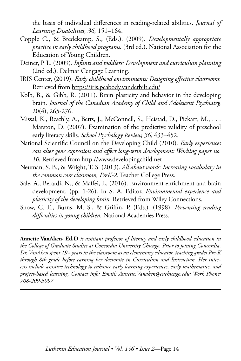the basis of individual differences in reading-related abilities. *Journal of Learning Disabilities, 36,* 151–164.

- Copple C., & Bredekamp, S., (Eds.). (2009). *Developmentally appropriate practice in early childhood programs.* (3rd ed.). National Association for the Education of Young Children.
- Deiner, P. L. (2009). *Infants and toddlers: Development and curriculum planning*  (2nd ed.). Delmar Cengage Learning.
- IRIS Center, (2019). *Early childhood environments: Designing effective classrooms.*  Retrieved from <https://iris.peabody.vanderbilt.edu/>
- Kolb, B., & Gibb, R. (2011). Brain plasticity and behavior in the developing brain. *Journal of the Canadian Academy of Child and Adolescent Psychiatry,*  20(4), 265-276.
- Missal, K., Reschly, A., Betts, J., McConnell, S., Heistad, D., Pickart, M., . . . Marston, D. (2007). Examination of the predictive validity of preschool early literacy skills. *School Psychology Review, 36,* 433–452.
- National Scientific Council on the Developing Child (2010). *Early experiences can alter gene expression and affect long-term development: Working paper no. 10.* Retrieved from<http://www.developingchild.net>
- Neuman, S. B., & Wright, T. S. (2013). *All about words: Increasing vocabulary in the common core classroom, PreK-2.* Teacher College Press.
- Sale, A., Berardi, N., & Maffei, L. (2016). Environment enrichment and brain development. (pp. 1-26). In S. A. Editor, *Environmental experience and plasticity of the developing brain.* Retrieved from Wiley Connections.
- Snow, C. E., Burns, M. S., & Griffin, P. (Eds.). (1998). *Preventing reading difficulties in young children.* National Academies Press.

**Annette VanAken, Ed.D** *is assistant professor of literacy and early childhood education in the College of Graduate Studies at Concordia University Chicago. Prior to joining Concordia, Dr. VanAken spent 19+ years in the classroom as an elementary educator, teaching grades Pre-K through 8th grade before earning her doctorate in Curriculum and Instruction. Her interests include assistive technology to enhance early learning experiences, early mathematics, and project-based learning. Contact info: Email: Annette.Vanaken@cuchicago.edu; Work Phone: 708-209-3097*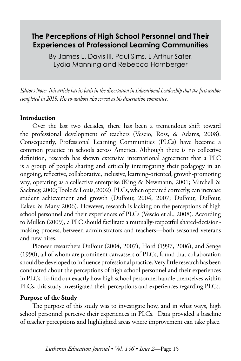## **The Perceptions of High School Personnel and Their Experiences of Professional Learning Communities**

By James L. Davis III, Paul Sims, L Arthur Safer, Lydia Manning and Rebecca Hornberger

*Editor's Note: This article has its basis in the dissertation in Educational Leadership that the first author completed in 2019. His co-authors also served as his dissertation committee.*

#### **Introduction**

Over the last two decades, there has been a tremendous shift toward the professional development of teachers (Vescio, Ross, & Adams, 2008). Consequently, Professional Learning Communities (PLCs) have become a common practice in schools across America. Although there is no collective definition, research has shown extensive international agreement that a PLC is a group of people sharing and critically interrogating their pedagogy in an ongoing, reflective, collaborative, inclusive, learning-oriented, growth-promoting way, operating as a collective enterprise (King & Newmann, 2001; Mitchell & Sackney, 2000; Toole & Louis, 2002). PLCs, when operated correctly, can increase student achievement and growth (DuFour, 2004, 2007; DuFour, DuFour, Eaker, & Many 2006). However, research is lacking on the perceptions of high school personnel and their experiences of PLCs (Vescio et al., 2008). According to Mullen (2009), a PLC should facilitate a mutually-respectful shared-decisionmaking process, between administrators and teachers—both seasoned veterans and new hires.

Pioneer researchers DuFour (2004, 2007), Hord (1997, 2006), and Senge (1990), all of whom are prominent canvassers of PLCs, found that collaboration should be developed to influence professional practice. Very little research has been conducted about the perceptions of high school personnel and their experiences in PLCs. To find out exactly how high school personnel handle themselves within PLCs, this study investigated their perceptions and experiences regarding PLCs.

#### **Purpose of the Study**

The purpose of this study was to investigate how, and in what ways, high school personnel perceive their experiences in PLCs. Data provided a baseline of teacher perceptions and highlighted areas where improvement can take place.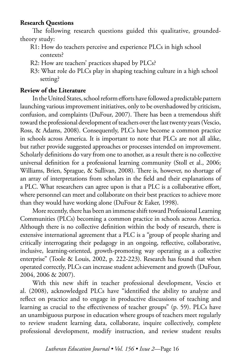#### **Research Questions**

The following research questions guided this qualitative, groundedtheory study:

- R1: How do teachers perceive and experience PLCs in high school contexts?
- R2: How are teachers' practices shaped by PLCs?
- R3: What role do PLCs play in shaping teaching culture in a high school setting?

#### **Review of the Literature**

In the United States, school reform efforts have followed a predictable pattern launching various improvement initiatives, only to be overshadowed by criticism, confusion, and complaints (DuFour, 2007). There has been a tremendous shift toward the professional development of teachers over the last twenty years (Vescio, Ross, & Adams, 2008). Consequently, PLCs have become a common practice in schools across America. It is important to note that PLCs are not all alike, but rather provide suggested approaches or processes intended on improvement. Scholarly definitions do vary from one to another, as a result there is no collective universal definition for a professional learning community (Stoll et al., 2006; Williams, Brien, Sprague, & Sullivan, 2008). There is, however, no shortage of an array of interpretations from scholars in the field and their explanations of a PLC. What researchers can agree upon is that a PLC is a collaborative effort, where personnel can meet and collaborate on their best practices to achieve more than they would have working alone (DuFour & Eaker, 1998).

More recently, there has been an immense shift toward Professional Learning Communities (PLCs) becoming a common practice in schools across America. Although there is no collective definition within the body of research, there is extensive international agreement that a PLC is a "group of people sharing and critically interrogating their pedagogy in an ongoing, reflective, collaborative, inclusive, learning-oriented, growth-promoting way operating as a collective enterprise" (Toole & Louis, 2002, p. 222-223). Research has found that when operated correctly, PLCs can increase student achievement and growth (DuFour, 2004, 2006 & 2007).

With this new shift in teacher professional development, Vescio et al. (2008), acknowledged PLCs have "identified the ability to analyze and reflect on practice and to engage in productive discussions of teaching and learning as crucial to the effectiveness of teacher groups" (p. 59). PLCs have an unambiguous purpose in education where groups of teachers meet regularly to review student learning data, collaborate, inquire collectively, complete professional development, modify instruction, and review student results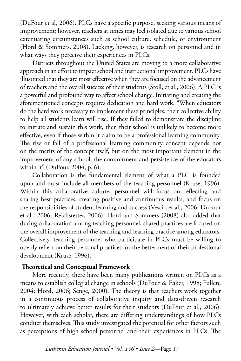(DuFour et al, 2006). PLCs have a specific purpose, seeking various means of improvement; however, teachers at times may feel isolated due to various school extenuating circumstances such as school culture, schedule, or environment (Hord & Sommers, 2008). Lacking, however, is research on personnel and in what ways they perceive their experiences in PLCs.

Districts throughout the United States are moving to a more collaborative approach in an effort to impact school and instructional improvement. PLCs have illustrated that they are most effective when they are focused on the advancement of teachers and the overall success of their students (Stoll, et al., 2006). A PLC is a powerful and profound way to affect school change. Initiating and creating the aforementioned concepts requires dedication and hard work. "When educators do the hard work necessary to implement these principles, their collective ability to help all students learn will rise. If they failed to demonstrate the discipline to initiate and sustain this work, then their school is unlikely to become more effective, even if those within it claim to be a professional learning community. The rise or fall of a professional learning community concept depends not on the merits of the concept itself, but on the most important element in the improvement of any school, the commitment and persistence of the educators within it" (DuFour, 2004, p. 6).

Collaboration is the fundamental element of what a PLC is founded upon and must include all members of the teaching personnel (Kruse, 1996). Within this collaborative culture, personnel will focus on reflecting and sharing best practices, creating positive and continuous results, and focus on the responsibilities of student learning and success (Vescio et al., 2006; DuFour et al., 2006; Reichstetter, 2006). Hord and Sommers (2008) also added that during collaboration among teaching personnel, shared practices are focused on the overall improvement of the teaching and learning practice among educators. Collectively, teaching personnel who participate in PLCs must be willing to openly reflect on their personal practices for the betterment of their professional development (Kruse, 1996).

#### **Theoretical and Conceptual Framework**

More recently, there have been many publications written on PLCs as a means to establish collegial change in schools (DuFour & Eaker, 1998; Fullen, 2004; Hord, 2006; Senge, 2000). The theory is that teachers work together in a continuous process of collaborative inquiry and data-driven research to ultimately achieve better results for their students (DuFour et al., 2006). However, with each scholar, there are differing understandings of how PLCs conduct themselves. This study investigated the potential for other factors such as perceptions of high school personnel and their experiences in PLCs. The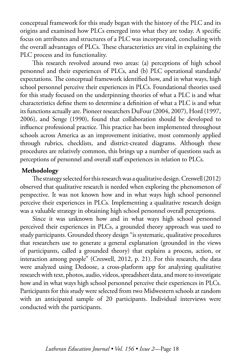conceptual framework for this study began with the history of the PLC and its origins and examined how PLCs emerged into what they are today. A specific focus on attributes and structures of a PLC was incorporated, concluding with the overall advantages of PLCs. These characteristics are vital in explaining the PLC process and its functionality.

This research revolved around two areas: (a) perceptions of high school personnel and their experiences of PLCs, and (b) PLC operational standards/ expectations. The conceptual framework identified how, and in what ways, high school personnel perceive their experiences in PLCs. Foundational theories used for this study focused on the underpinning theories of what a PLC is and what characteristics define them to determine a definition of what a PLC is and what its functions actually are. Pioneer researchers DuFour (2004, 2007), Hord (1997, 2006), and Senge (1990), found that collaboration should be developed to influence professional practice. This practice has been implemented throughout schools across America as an improvement initiative, most commonly applied through rubrics, checklists, and district-created diagrams. Although these procedures are relatively common, this brings up a number of questions such as perceptions of personnel and overall staff experiences in relation to PLCs.

#### **Methodology**

The strategy selected for this research was a qualitative design. Creswell (2012) observed that qualitative research is needed when exploring the phenomenon of perspective. It was not known how and in what ways high school personnel perceive their experiences in PLCs. Implementing a qualitative research design was a valuable strategy in obtaining high school personnel overall perceptions.

Since it was unknown how and in what ways high school personnel perceived their experiences in PLCs, a grounded theory approach was used to study participants. Grounded theory design "is systematic, qualitative procedures that researchers use to generate a general explanation (grounded in the views of participants, called a grounded theory) that explains a process, action, or interaction among people" (Creswell, 2012, p. 21). For this research, the data were analyzed using Dedoose, a cross-platform app for analyzing qualitative research with text, photos, audio, videos, spreadsheet data, and more to investigate how and in what ways high school personnel perceive their experiences in PLCs. Participants for this study were selected from two Midwestern schools at random with an anticipated sample of 20 participants. Individual interviews were conducted with the participants.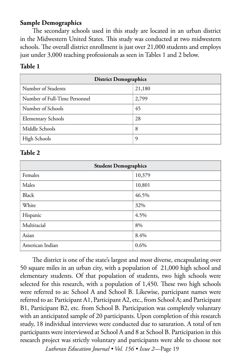#### **Sample Demographics**

The secondary schools used in this study are located in an urban district in the Midwestern United States. This study was conducted at two midwestern schools. The overall district enrollment is just over 21,000 students and employs just under 3,000 teaching professionals as seen in Tables 1 and 2 below.

#### **Table 1**

| <b>District Demographics</b>  |        |  |
|-------------------------------|--------|--|
| Number of Students            | 21,180 |  |
| Number of Full-Time Personnel | 2,799  |  |
| Number of Schools             | 45     |  |
| <b>Elementary Schools</b>     | 28     |  |
| Middle Schools                | 8      |  |
| High Schools                  | 9      |  |

#### **Table 2**

| <b>Student Demographics</b> |        |  |
|-----------------------------|--------|--|
| Females                     | 10,379 |  |
| Males                       | 10,801 |  |
| Black                       | 46.5%  |  |
| White                       | 32%    |  |
| Hispanic                    | 4.5%   |  |
| Multiracial                 | 8%     |  |
| Asian                       | 8.4%   |  |
| American Indian             | 0.6%   |  |

The district is one of the state's largest and most diverse, encapsulating over 50 square miles in an urban city, with a population of 21,000 high school and elementary students. Of that population of students, two high schools were selected for this research, with a population of 1,450. These two high schools were referred to as: School A and School B. Likewise, participant names were referred to as: Participant A1, Participant A2, etc., from School A; and Participant B1, Participant B2, etc. from School B. Participation was completely voluntary with an anticipated sample of 20 participants. Upon completion of this research study, 18 individual interviews were conducted due to saturation. A total of ten participants were interviewed at School A and 8 at School B. Participation in this research project was strictly voluntary and participants were able to choose not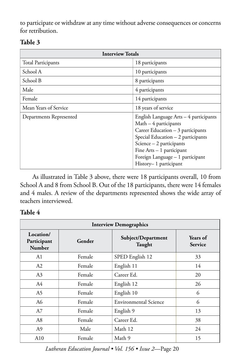to participate or withdraw at any time without adverse consequences or concerns for retribution.

| <b>Interview Totals</b>   |                                                                                                                                                                                                                                                                      |  |
|---------------------------|----------------------------------------------------------------------------------------------------------------------------------------------------------------------------------------------------------------------------------------------------------------------|--|
| <b>Total Participants</b> | 18 participants                                                                                                                                                                                                                                                      |  |
| School A                  | 10 participants                                                                                                                                                                                                                                                      |  |
| School B                  | 8 participants                                                                                                                                                                                                                                                       |  |
| Male                      | 4 participants                                                                                                                                                                                                                                                       |  |
| Female                    | 14 participants                                                                                                                                                                                                                                                      |  |
| Mean Years of Service     | 18 years of service                                                                                                                                                                                                                                                  |  |
| Departments Represented   | English Language Arts - 4 participants<br>$Math-4$ participants<br>Career Education - 3 participants<br>Special Education - 2 participants<br>Science $-2$ participants<br>Fine $Arts - 1$ participant<br>Foreign Language - 1 participant<br>History– 1 participant |  |

#### **Table 3**

As illustrated in Table 3 above, there were 18 participants overall, 10 from School A and 8 from School B. Out of the 18 participants, there were 14 females and 4 males. A review of the departments represented shows the wide array of teachers interviewed.

#### **Table 4**

| <b>Interview Demographics</b>             |        |                              |                            |
|-------------------------------------------|--------|------------------------------|----------------------------|
| Location/<br>Participant<br><b>Number</b> | Gender | Subject/Department<br>Taught | Years of<br><b>Service</b> |
| A1                                        | Female | SPED English 12              | 33                         |
| A2                                        | Female | English 11                   | 14                         |
| A3                                        | Female | Career Ed.                   | 20                         |
| A4                                        | Female | English 12                   | 26                         |
| A <sub>5</sub>                            | Female | English 10                   | 6                          |
| A6                                        | Female | Environmental Science        | 6                          |
| A7                                        | Female | English 9                    | 13                         |
| A8                                        | Female | Career Ed.                   | 38                         |
| A9                                        | Male   | Math 12                      | 24                         |
| A10                                       | Female | Math 9                       | 15                         |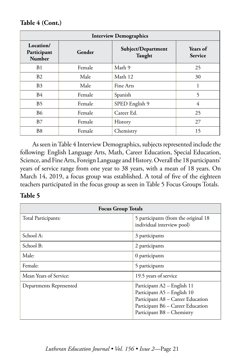**Table 4 (Cont.)**

| <b>Interview Demographics</b>      |        |                              |                            |
|------------------------------------|--------|------------------------------|----------------------------|
| Location/<br>Participant<br>Number | Gender | Subject/Department<br>Taught | Years of<br><b>Service</b> |
| B1                                 | Female | Math 9                       | 25                         |
| <b>B2</b>                          | Male   | Math 12                      | 30                         |
| B <sub>3</sub>                     | Male   | Fine Arts                    |                            |
| <b>B4</b>                          | Female | Spanish                      | 5                          |
| <b>B5</b>                          | Female | SPED English 9               | 4                          |
| <b>B6</b>                          | Female | Career Ed.                   | 25                         |
| <b>B</b> 7                         | Female | History                      | 27                         |
| B <sub>8</sub>                     | Female | Chemistry                    | 15                         |

As seen in Table 4 Interview Demographics, subjects represented include the following: English Language Arts, Math, Career Education, Special Education, Science, and Fine Arts, Foreign Language and History. Overall the 18 participants' years of service range from one year to 38 years, with a mean of 18 years. On March 14, 2019, a focus group was established. A total of five of the eighteen teachers participated in the focus group as seen in Table 5 Focus Groups Totals.

#### **Table 5**

| <b>Focus Group Totals</b> |                                                                                                                                                                    |  |
|---------------------------|--------------------------------------------------------------------------------------------------------------------------------------------------------------------|--|
| Total Participants:       | 5 participants (from the original 18<br>individual interview pool)                                                                                                 |  |
| School A:                 | 3 participants                                                                                                                                                     |  |
| School B:                 | 2 participants                                                                                                                                                     |  |
| Male:                     | 0 participants                                                                                                                                                     |  |
| Female:                   | 5 participants                                                                                                                                                     |  |
| Mean Years of Service:    | 19.5 years of service                                                                                                                                              |  |
| Departments Represented   | Participant A2 - English 11<br>Participant A5 - English 10<br>Participant A8 - Career Education<br>Participant B6 - Career Education<br>Participant B8 - Chemistry |  |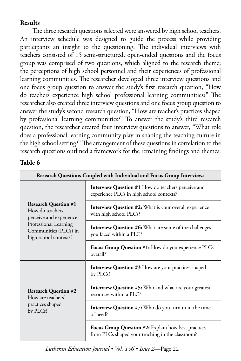### **Results**

The three research questions selected were answered by high school teachers. An interview schedule was designed to guide the process while providing participants an insight to the questioning. The individual interviews with teachers consisted of 15 semi-structured, open-ended questions and the focus group was comprised of two questions, which aligned to the research theme; the perceptions of high school personnel and their experiences of professional learning communities. The researcher developed three interview questions and one focus group question to answer the study's first research question, "How do teachers experience high school professional learning communities?" The researcher also created three interview questions and one focus group question to answer the study's second research question, "How are teacher's practices shaped by professional learning communities?" To answer the study's third research question, the researcher created four interview questions to answer, "What role does a professional learning community play in shaping the teaching culture in the high school setting?" The arrangement of these questions in correlation to the research questions outlined a framework for the remaining findings and themes.

#### **Table 6**

| Research Questions Coupled with Individual and Focus Group Interviews     |                                                                                                         |  |
|---------------------------------------------------------------------------|---------------------------------------------------------------------------------------------------------|--|
|                                                                           | <b>Interview Question #1 How do teachers perceive and</b><br>experience PLCs in high school contexts?   |  |
| <b>Research Question #1</b><br>How do teachers<br>perceive and experience | <b>Interview Question #2:</b> What is your overall experience<br>with high school PLCs?                 |  |
| Professional Learning<br>Communities (PLCs) in<br>high school contexts?   | <b>Interview Question #6:</b> What are some of the challenges<br>you faced within a PLC?                |  |
|                                                                           | <b>Focus Group Question #1:</b> How do you experience PLCs<br>overall?                                  |  |
|                                                                           | <b>Interview Question #3</b> How are your practices shaped<br>by PLCs?                                  |  |
| <b>Research Question #2</b><br>How are teachers'                          | <b>Interview Question #5:</b> Who and what are your greatest<br>resources within a PLC?                 |  |
| practices shaped<br>by PLCs?                                              | <b>Interview Question #7:</b> Who do you turn to in the time<br>of need?                                |  |
|                                                                           | Focus Group Question #2: Explain how best practices<br>from PLCs shaped your teaching in the classroom? |  |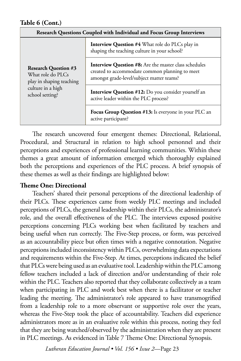| Research Questions Coupled with Individual and Focus Group Interviews                                                |                                                                                                                                                             |  |
|----------------------------------------------------------------------------------------------------------------------|-------------------------------------------------------------------------------------------------------------------------------------------------------------|--|
| <b>Research Question #3</b><br>What role do PLCs<br>play in shaping teaching<br>culture in a high<br>school setting? | <b>Interview Question #4 What role do PLCs play in</b><br>shaping the teaching culture in your school?                                                      |  |
|                                                                                                                      | <b>Interview Question #8:</b> Are the master class schedules<br>created to accommodate common planning to meet<br>amongst grade-level/subject matter teams? |  |
|                                                                                                                      | Interview Question #12: Do you consider yourself an<br>active leader within the PLC process?                                                                |  |
|                                                                                                                      | Focus Group Question #13: Is everyone in your PLC an<br>active participant?                                                                                 |  |

The research uncovered four emergent themes: Directional, Relational, Procedural, and Structural in relation to high school personnel and their perceptions and experiences of professional learning communities. Within these themes a great amount of information emerged which thoroughly explained both the perceptions and experiences of the PLC process. A brief synopsis of these themes as well as their findings are highlighted below:

#### **Theme One: Directional**

Teachers' shared their personal perceptions of the directional leadership of their PLCs. These experiences came from weekly PLC meetings and included perceptions of PLCs, the general leadership within their PLCs, the administrator's role, and the overall effectiveness of the PLC. The interviews exposed positive perceptions concerning PLCs working best when facilitated by teachers and being useful when run correctly. The Five-Step process, or form, was perceived as an accountability piece but often times with a negative connotation. Negative perceptions included inconsistency within PLCs, overwhelming data expectations and requirements within the Five-Step. At times, perceptions indicated the belief that PLCs were being used as an evaluative tool. Leadership within the PLC among fellow teachers included a lack of direction and/or understanding of their role within the PLC. Teachers also reported that they collaborate collectively as a team when participating in PLC and work best when there is a facilitator or teacher leading the meeting. The administrator's role appeared to have transmogrified from a leadership role to a more observant or supportive role over the years, whereas the Five-Step took the place of accountability. Teachers did experience administrators more as in an evaluative role within this process, noting they feel that they are being watched/observed by the administration when they are present in PLC meetings. As evidenced in Table 7 Theme One: Directional Synopsis.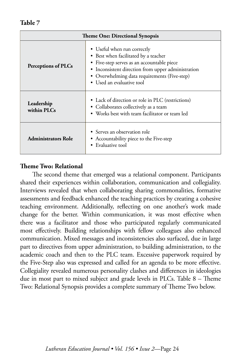| <b>Theme One: Directional Synopsis</b> |                                                                                                                                                                                                                                                      |  |
|----------------------------------------|------------------------------------------------------------------------------------------------------------------------------------------------------------------------------------------------------------------------------------------------------|--|
| Perceptions of PLCs                    | • Useful when run correctly<br>• Best when facilitated by a teacher<br>• Five-step serves as an accountable piece<br>• Inconsistent direction from upper administration<br>• Overwhelming data requirements (Five-step)<br>• Used an evaluative tool |  |
| Leadership<br>within PLCs              | • Lack of direction or role in PLC (restrictions)<br>• Collaborates collectively as a team<br>• Works best with team facilitator or team led                                                                                                         |  |
| <b>Administrators Role</b>             | • Serves an observation role<br>• Accountability piece to the Five-step<br>• Evaluative tool                                                                                                                                                         |  |

#### **Theme Two: Relational**

The second theme that emerged was a relational component. Participants shared their experiences within collaboration, communication and collegiality. Interviews revealed that when collaborating sharing commonalities, formative assessments and feedback enhanced the teaching practices by creating a cohesive teaching environment. Additionally, reflecting on one another's work made change for the better. Within communication, it was most effective when there was a facilitator and those who participated regularly communicated most effectively. Building relationships with fellow colleagues also enhanced communication. Mixed messages and inconsistencies also surfaced, due in large part to directives from upper administration, to building administration, to the academic coach and then to the PLC team. Excessive paperwork required by the Five-Step also was expressed and called for an agenda to be more effective. Collegiality revealed numerous personality clashes and differences in ideologies due in most part to mixed subject and grade levels in PLCs. Table 8 – Theme Two: Relational Synopsis provides a complete summary of Theme Two below.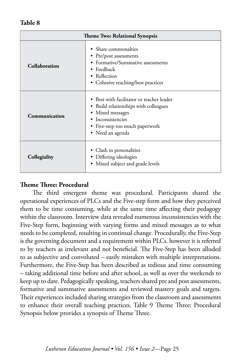| <b>Theme Two: Relational Synopsis</b> |                                                                                                                                                                                    |  |
|---------------------------------------|------------------------------------------------------------------------------------------------------------------------------------------------------------------------------------|--|
| Collaboration                         | • Share commonalties<br>• Pre/post assessments<br>Formative/Summative assessments<br>$\bullet$ Feedback<br>• Reflection<br>• Cohesive teaching/best practices                      |  |
| Communication                         | • Best with facilitator or teacher leader<br>• Build relationships with colleagues<br>Mixed messages<br>٠<br>Inconsistencies<br>• Five-step too much paperwork<br>• Need an agenda |  |
| Collegiality                          | Clash in personalities<br>• Differing ideologies<br>Mixed subject and grade levels<br>$\bullet$                                                                                    |  |

#### **Theme Three: Procedural**

The third emergent theme was procedural. Participants shared the operational experiences of PLCs and the Five-step form and how they perceived them to be time consuming, while at the same time affecting their pedagogy within the classroom. Interview data revealed numerous inconsistencies with the Five-Step form, beginning with varying forms and mixed messages as to what needs to be completed, resulting in continual change. Procedurally, the Five-Step is the governing document and a requirement within PLCs. however it is referred to by teachers as irrelevant and not beneficial. The Five-Step has been alluded to as subjective and convoluted – easily mistaken with multiple interpretations. Furthermore, the Five-Step has been described as tedious and time consuming – taking additional time before and after school, as well as over the weekends to keep up to date. Pedagogically speaking, teachers shared pre and post assessments, formative and summative assessments and reviewed mastery goals and targets. Their experiences included sharing strategies from the classroom and assessments to enhance their overall teaching practices. Table 9 Theme Three: Procedural Synopsis below provides a synopsis of Theme Three.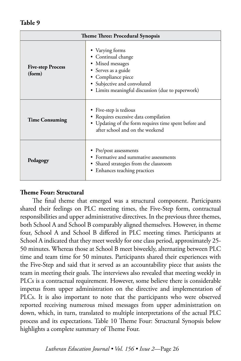| <b>Theme Three: Procedural Synopsis</b> |                                                                                                                                                                                            |  |
|-----------------------------------------|--------------------------------------------------------------------------------------------------------------------------------------------------------------------------------------------|--|
| <b>Five-step Process</b><br>(form)      | • Varying forms<br>• Continual change<br>• Mixed messages<br>• Serves as a guide<br>• Compliance piece<br>• Subjective and convoluted<br>• Limits meaningful discussion (due to paperwork) |  |
| <b>Time Consuming</b>                   | • Five-step is tedious<br>Requires excessive data compilation<br>• Updating of the form requires time spent before and<br>after school and on the weekend                                  |  |
| Pedagogy                                | • Pre/post assessments<br>Formative and summative assessments<br>• Shared strategies from the classroom<br>• Enhances teaching practices                                                   |  |

#### **Theme Four: Structural**

The final theme that emerged was a structural component. Participants shared their feelings on PLC meeting times, the Five-Step form, contractual responsibilities and upper administrative directives. In the previous three themes, both School A and School B comparably aligned themselves. However, in theme four, School A and School B differed in PLC meeting times. Participants at School A indicated that they meet weekly for one class period, approximately 25- 50 minutes. Whereas those at School B meet biweekly, alternating between PLC time and team time for 50 minutes. Participants shared their experiences with the Five-Step and said that it served as an accountability piece that assists the team in meeting their goals. The interviews also revealed that meeting weekly in PLCs is a contractual requirement. However, some believe there is considerable impetus from upper administration on the directive and implementation of PLCs. It is also important to note that the participants who were observed reported receiving numerous mixed messages from upper administration on down, which, in turn, translated to multiple interpretations of the actual PLC process and its expectations. Table 10 Theme Four: Structural Synopsis below highlights a complete summary of Theme Four.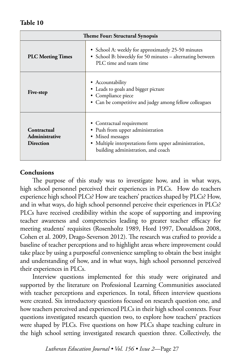| <b>Theme Four: Structural Synopsis</b>            |                                                                                                                                                                                  |  |
|---------------------------------------------------|----------------------------------------------------------------------------------------------------------------------------------------------------------------------------------|--|
| <b>PLC Meeting Times</b>                          | • School A: weekly for approximately 25-50 minutes<br>• School B: biweekly for 50 minutes - alternating between<br>PLC time and team time                                        |  |
| Five-step                                         | • Accountability<br>• Leads to goals and bigger picture<br>• Compliance piece<br>• Can be competitive and judgy among fellow colleagues                                          |  |
| Contractual<br>Administrative<br><b>Direction</b> | • Contractual requirement<br>• Push from upper administration<br>• Mixed messages<br>• Multiple interpretations form upper administration,<br>building administration, and coach |  |

#### **Conclusions**

The purpose of this study was to investigate how, and in what ways, high school personnel perceived their experiences in PLCs. How do teachers experience high school PLCs? How are teachers' practices shaped by PLCs? How, and in what ways, do high school personnel perceive their experiences in PLCs? PLCs have received credibility within the scope of supporting and improving teacher awareness and competencies leading to greater teacher efficacy for meeting students' requisites (Rosenholtz 1989, Hord 1997, Donaldson 2008, Cohen et al. 2009, Drago-Severson 2012). The research was crafted to provide a baseline of teacher perceptions and to highlight areas where improvement could take place by using a purposeful convenience sampling to obtain the best insight and understanding of how, and in what ways, high school personnel perceived their experiences in PLCs.

Interview questions implemented for this study were originated and supported by the literature on Professional Learning Communities associated with teacher perceptions and experiences. In total, fifteen interview questions were created. Six introductory questions focused on research question one, and how teachers perceived and experienced PLCs in their high school contexts. Four questions investigated research question two, to explore how teachers' practices were shaped by PLCs. Five questions on how PLCs shape teaching culture in the high school setting investigated research question three. Collectively, the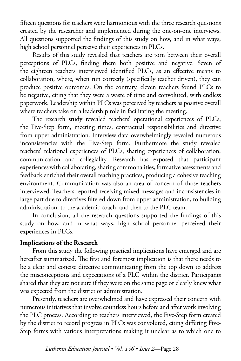fifteen questions for teachers were harmonious with the three research questions created by the researcher and implemented during the one-on-one interviews. All questions supported the findings of this study on how, and in what ways, high school personnel perceive their experiences in PLCs.

Results of this study revealed that teachers are torn between their overall perceptions of PLCs, finding them both positive and negative. Seven of the eighteen teachers interviewed identified PLCs, as an effective means to collaboration, where, when run correctly (specifically teacher driven), they can produce positive outcomes. On the contrary, eleven teachers found PLCs to be negative, citing that they were a waste of time and convoluted, with endless paperwork. Leadership within PLCs was perceived by teachers as positive overall where teachers take on a leadership role in facilitating the meeting.

The research study revealed teachers' operational experiences of PLCs, the Five-Step form, meeting times, contractual responsibilities and directive from upper administration. Interview data overwhelmingly revealed numerous inconsistencies with the Five-Step form. Furthermore the study revealed teachers' relational experiences of PLCs, sharing experiences of collaboration, communication and collegiality. Research has exposed that participant experiences with collaborating, sharing commonalities, formative assessments and feedback enriched their overall teaching practices, producing a cohesive teaching environment. Communication was also an area of concern of those teachers interviewed. Teachers reported receiving mixed messages and inconsistencies in large part due to directives filtered down from upper administration, to building administration, to the academic coach, and then to the PLC team.

In conclusion, all the research questions supported the findings of this study on how, and in what ways, high school personnel perceived their experiences in PLCs.

#### **Implications of the Research**

From this study the following practical implications have emerged and are hereafter summarized. The first and foremost implication is that there needs to be a clear and concise directive communicating from the top down to address the misconceptions and expectations of a PLC within the district. Participants shared that they are not sure if they were on the same page or clearly knew what was expected from the district or administration.

Presently, teachers are overwhelmed and have expressed their concern with numerous initiatives that involve countless hours before and after work involving the PLC process. According to teachers interviewed, the Five-Step form created by the district to record progress in PLCs was convoluted, citing differing Five-Step forms with various interpretations making it unclear as to which one to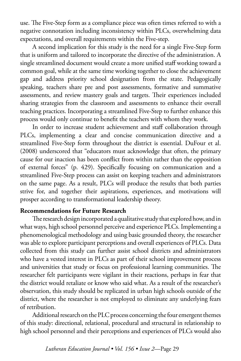use. The Five-Step form as a compliance piece was often times referred to with a negative connotation including inconsistency within PLCs, overwhelming data expectations, and overall requirements within the Five-step.

A second implication for this study is the need for a single Five-Step form that is uniform and tailored to incorporate the directive of the administration. A single streamlined document would create a more unified staff working toward a common goal, while at the same time working together to close the achievement gap and address priority school designation from the state. Pedagogically speaking, teachers share pre and post assessments, formative and summative assessments, and review mastery goals and targets. Their experiences included sharing strategies from the classroom and assessments to enhance their overall teaching practices. Incorporating a streamlined Five-Step to further enhance this process would only continue to benefit the teachers with whom they work.

In order to increase student achievement and staff collaboration through PLCs, implementing a clear and concise communication directive and a streamlined Five-Step form throughout the district is essential. DuFour et al. (2008) underscored that "educators must acknowledge that often, the primary cause for our inaction has been conflict from within rather than the opposition of external forces" (p. 429). Specifically focusing on communication and a streamlined Five-Step process can assist on keeping teachers and administrators on the same page. As a result, PLCs will produce the results that both parties strive for, and together their aspirations, experiences, and motivations will prosper according to transformational leadership theory.

#### **Recommendations for Future Research**

The research design incorporated a qualitative study that explored how, and in what ways, high school personnel perceive and experience PLCs. Implementing a phenomenological methodology and using basic grounded theory, the researcher was able to explore participant perceptions and overall experiences of PLCs. Data collected from this study can further assist school districts and administrators who have a vested interest in PLCs as part of their school improvement process and universities that study or focus on professional learning communities. The researcher felt participants were vigilant in their reactions, perhaps in fear that the district would retaliate or know who said what. As a result of the researcher's observation, this study should be replicated in urban high schools outside of the district, where the researcher is not employed to eliminate any underlying fears of retribution.

Additional research on the PLC process concerning the four emergent themes of this study: directional, relational, procedural and structural in relationship to high school personnel and their perceptions and experiences of PLCs would also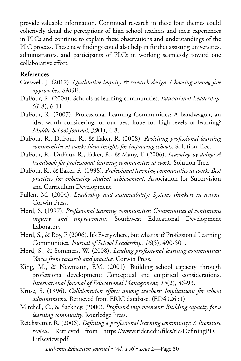provide valuable information. Continued research in these four themes could cohesively detail the perceptions of high school teachers and their experiences in PLCs and continue to explain these observations and understandings of the PLC process. These new findings could also help in further assisting universities, administrators, and participants of PLCs in working seamlessly toward one collaborative effort.

#### **References**

- Creswell, J. (2012). *Qualitative inquiry & research design: Choosing among five approaches.* SAGE.
- DuFour, R. (2004). Schools as learning communities. *Educational Leadership, 61*(8), 6-11.
- DuFour, R. (2007). Professional Learning Communities: A bandwagon, an idea worth considering, or our best hope for high levels of learning? *Middle School Journal, 39*(1), 4-8.
- DuFour, R., DuFour, R., & Eaker, R. (2008). *Revisiting professional learning communities at work: New insights for improving schools.* Solution Tree.
- DuFour, R., DuFour, R., Eaker, R., & Many, T. (2006). *Learning by doing: A handbook for professional learning communities at work.* Solution Tree.
- DuFour, R., & Eaker, R. (1998). *Professional learning communities at work: Best practices for enhancing student achievement.* Association for Supervision and Curriculum Development.
- Fullen, M. (2004). *Leadership and sustainability: Systems thinkers in action.*  Corwin Press.

Hord, S. (1997). *Professional learning communities: Communities of continuous inquiry and improvement.* Southwest Educational Development Laboratory.

- Hord, S., & Roy, P. (2006). It's Everywhere, but what is it? Professional Learning Communities. *Journal of School Leadership, 16*(5), 490-501.
- Hord, S., & Sommers, W. (2008). *Leading professional learning communities: Voices from research and practice.* Corwin Press.

King, M., & Newmann, F.M. (2001). Building school capacity through professional development: Conceptual and empirical considerations. *International Journal of Educational Management, 15*(2), 86-93.

- Kruse, S. (1996). *Collaboration efforts among teachers: Implications for school adminstrators.* Retrieved from ERIC database. (ED402651)
- Mitchell, C., & Sackney. (2000). *Profound improvement: Building capacity for a learning community.* Routledge Press.
- Reichstetter, R. (2006). *Defining a professional learning community: A literature review.* Retrieved from [https://www.rider.edu/files/tlc-DefiningPLC\\_](https://www.rider.edu/files/tlc-DefiningPLC_LitReview.pdf) [LitReview.pdf](https://www.rider.edu/files/tlc-DefiningPLC_LitReview.pdf)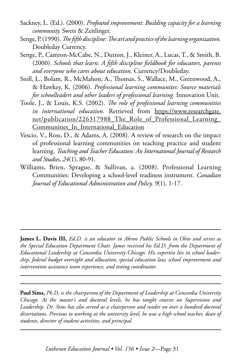- Sackney, L. (Ed.). (2000). *Profound improvement: Building capacity for a learning community.* Swets & Zeitlinger.
- Senge, P. (1990). *The fifth discipline: The art and practice of the learning organization.*  Doubleday Currency.
- Senge, P., Camron-McCabe, N., Dutton, J., Kleiner, A., Lucas, T., & Smith, B. (2000). *Schools that learn: A fifth discipline fieldbook for educators, parents and everyone who cares about education.* Currency/Doubleday.
- Stoll, L., Bolam, R., McMahon, A., Thomas, S., Wallace, M., Greenwood, A., & Hawkey, K. (2006). *Professional learning communites: Source materials for schoolleaders and other leaders of professional learning.* Innovation Unit.
- Toole, J., & Louis, K.S. (2002). *The role of professional learning communities*  in international education. Retrieved from [https://www.researchgate.](https://www.researchgate.net/publication/226317988_The_Role_of_Professional_Learning_Communities_In_International_Education) net/publication/226317988 The Role of Professional Learning [Communities\\_In\\_International\\_Education](https://www.researchgate.net/publication/226317988_The_Role_of_Professional_Learning_Communities_In_International_Education)
- Vescio, V., Ross, D., & Adams, A. (2008). A review of research on the impact of professional learning communities on teaching practice and student learning. *Teaching and Teacher Education: An International Journal of Research and Studies, 24*(1), 80-91.
- Williams, Brien, Sprague, & Sullivan, a. (2008). Professional Learning Communities: Developing a school-level readiness instrument. *Canadian Journal of Educational Administration and Policy, 9*(1), 1-17.

**James L. Davis III,** *Ed.D. is an educator in Akron Public Schools in Ohio and serves as the Special Education Department Chair. James received his Ed.D. from the Department of Educational Leadership at Concordia University Chicago. His expertise lies in school leadership, federal budget oversight and allocation, special education law, school improvement and intervention assistance team experience, and testing coordinator.* 

**Paul Sims,** *Ph.D. is the chairperson of the Department of Leadership at Concordia University Chicago. At the master's and doctoral levels, he has taught courses on Supervision and Leadership. Dr. Sims has also served as a chairperson and reader on over a hundred doctoral dissertations. Previous to working at the university level, he was a high school teacher, dean of students, director of student activities, and principal.*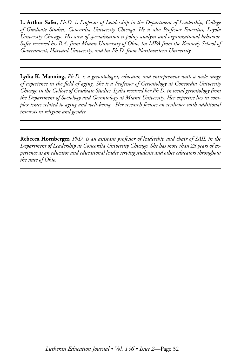**L. Arthur Safer,** *Ph.D. is Professor of Leadership in the Department of Leadership, College of Graduate Studies, Concordia University Chicago. He is also Professor Emeritus, Loyola University Chicago. His area of specialization is policy analysis and organizational behavior. Safer received his B.A. from Miami University of Ohio, his MPA from the Kennedy School of Government, Harvard University, and his Ph.D. from Northwestern University.*

**Lydia K. Manning,** *Ph.D. is a gerontologist, educator, and entrepreneur with a wide range of experience in the field of aging. She is a Professor of Gerontology at Concordia University Chicago in the College of Graduate Studies. Lydia received her Ph.D. in social gerontology from the Department of Sociology and Gerontology at Miami University. Her expertise lies in complex issues related to aging and well-being. Her research focuses on resilience with additional interests in religion and gender.* 

**Rebecca Hornberger,** *PhD, is an assistant professor of leadership and chair of SAIL in the Department of Leadership at Concordia University Chicago. She has more than 23 years of experience as an educator and educational leader serving students and other educators throughout the state of Ohio.*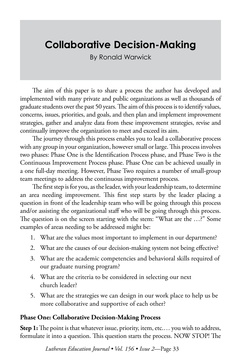# **Collaborative Decision-Making**

By Ronald Warwick

The aim of this paper is to share a process the author has developed and implemented with many private and public organizations as well as thousands of graduate students over the past 50 years. The aim of this process is to identify values, concerns, issues, priorities, and goals, and then plan and implement improvement strategies, gather and analyze data from these improvement strategies, revise and continually improve the organization to meet and exceed its aim.

The journey through this process enables you to lead a collaborative process with any group in your organization, however small or large. This process involves two phases: Phase One is the Identification Process phase, and Phase Two is the Continuous Improvement Process phase. Phase One can be achieved usually in a one full-day meeting. However, Phase Two requires a number of small-group team meetings to address the continuous improvement process.

The first step is for you, as the leader, with your leadership team, to determine an area needing improvement. This first step starts by the leader placing a question in front of the leadership team who will be going through this process and/or assisting the organizational staff who will be going through this process. The question is on the screen starting with the stem: "What are the …?" Some examples of areas needing to be addressed might be:

- 1. What are the values most important to implement in our department?
- 2. What are the causes of our decision-making system not being effective?
- 3. What are the academic competencies and behavioral skills required of our graduate nursing program?
- 4. What are the criteria to be considered in selecting our next church leader?
- 5. What are the strategies we can design in our work place to help us be more collaborative and supportive of each other?

#### **Phase One: Collaborative Decision-Making Process**

**Step 1:** The point is that whatever issue, priority, item, etc.... you wish to address, formulate it into a question. This question starts the process. NOW STOP! The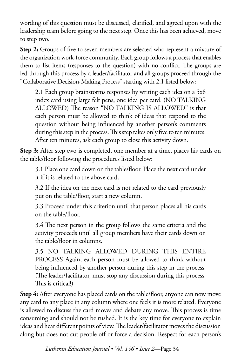wording of this question must be discussed, clarified, and agreed upon with the leadership team before going to the next step. Once this has been achieved, move to step two.

**Step 2:** Groups of five to seven members are selected who represent a mixture of the organization work-force community. Each group follows a process that enables them to list items (responses to the question) with no conflict. The groups are led through this process by a leader/facilitator and all groups proceed through the "Collaborative Decision-Making Process" starting with 2.1 listed below:

2.1 Each group brainstorms responses by writing each idea on a 5x8 index card using large felt pens, one idea per card. (NO TALKING ALLOWED) The reason "NO TALKING IS ALLOWED" is that each person must be allowed to think of ideas that respond to the question without being influenced by another person's comments during this step in the process. This step takes only five to ten minutes. After ten minutes, ask each group to close this activity down.

**Step 3:** After step two is completed, one member at a time, places his cards on the table/floor following the procedures listed below:

3.1 Place one card down on the table/floor. Place the next card under it if it is related to the above card.

3.2 If the idea on the next card is not related to the card previously put on the table/floor, start a new column.

3.3 Proceed under this criterion until that person places all his cards on the table/floor.

3.4 The next person in the group follows the same criteria and the activity proceeds until all group members have their cards down on the table/floor in columns.

3.5 NO TALKING ALLOWED DURING THIS ENTIRE PROCESS Again, each person must be allowed to think without being influenced by another person during this step in the process. (The leader/facilitator, must stop any discussion during this process. This is critical!)

**Step 4:** After everyone has placed cards on the table/floor, anyone can now move any card to any place in any column where one feels it is more related. Everyone is allowed to discuss the card moves and debate any move. This process is time consuming and should not be rushed. It is the key time for everyone to explain ideas and hear different points of view. The leader/facilitator moves the discussion along but does not cut people off or force a decision. Respect for each person's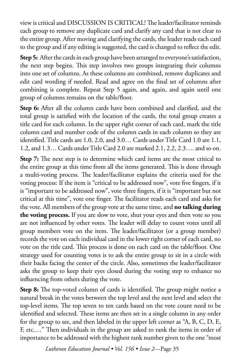view is critical and DISCUSSION IS CRITICAL! The leader/facilitator reminds each group to remove any duplicate card and clarify any card that is not clear to the entire group. After moving and clarifying the cards, the leader reads each card to the group and if any editing is suggested, the card is changed to reflect the edit.

**Step 5:** After the cards in each group have been arranged to everyone's satisfaction, the next step begins. This step involves two groups integrating their columns into one set of columns. As these columns are combined, remove duplicates and edit card wording if needed. Read and agree on the final set of columns after combining is complete. Repeat Step 5 again, and again, and again until one group of columns remains on the table/floor.

**Step 6:** After all the column cards have been combined and clarified, and the total group is satisfied with the location of the cards, the total group creates a title card for each column. In the upper right corner of each card, mark the title column card and number code of the column cards in each column so they are identified. Title cards are 1.0, 2.0, and 3.0… Cards under Title Card 1.0 are 1.1, 1.2, and 1.3… Cards under Title Card 2.0 are marked 2.1, 2.2, 2.3…. and so on.

**Step 7:** The next step is to determine which card items are the most critical to the entire group at this time from all the items generated. This is done through a multi-voting process. The leader/facilitator explains the criteria used for the voting process: If the item is "critical to be addressed now", vote five fingers, if it is "important to be addressed now", vote three fingers, if it is "important but not critical at this time", vote one finger. The facilitator reads each card and asks for the vote. All members of the group vote at the same time, and **no talking during the voting process.** If you are slow to vote, shut your eyes and then vote so you are not influenced by other votes. The leader will delay to count votes until all group members vote on the item. The leader/facilitator (or a group member) records the vote on each individual card in the lower right corner of each card, no vote on the title card. This process is done on each card on the table/floor. One strategy used for counting votes is to ask the entire group to sit in a circle with their backs facing the center of the circle. Also, sometimes the leader/facilitator asks the group to keep their eyes closed during the voting step to enhance no influencing from others during the vote.

**Step 8:** The top-voted column of cards is identified. The group might notice a natural break in the votes between the top level and the next level and select the top-level items. The top seven to ten cards based on the vote count need to be identified and selected. These items are then set in a single column in any order for the group to see, and then labeled in the upper left corner as "A, B, C, D, E, F, etc.…" Then individuals in the group are asked to rank the items in order of importance to be addressed with the highest rank number given to the one "most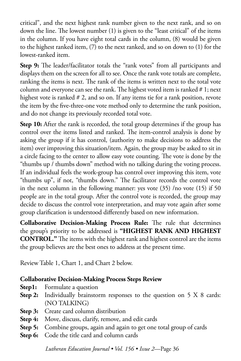critical", and the next highest rank number given to the next rank, and so on down the line. The lowest number (1) is given to the "least critical" of the items in the column. If you have eight total cards in the column, (8) would be given to the highest ranked item, (7) to the next ranked, and so on down to (1) for the lowest-ranked item.

**Step 9:** The leader/facilitator totals the "rank votes" from all participants and displays them on the screen for all to see. Once the rank vote totals are complete, ranking the items is next. The rank of the items is written next to the total vote column and everyone can see the rank. The highest voted item is ranked # 1; next highest vote is ranked # 2, and so on. If any items tie for a rank position, revote the item by the five-three-one vote method only to determine the rank position, and do not change its previously recorded total vote.

**Step 10:** After the rank is recorded, the total group determines if the group has control over the items listed and ranked. The item-control analysis is done by asking the group if it has control, (authority to make decisions to address the item) over improving this situation/item. Again, the group may be asked to sit in a circle facing to the center to allow easy vote counting. The vote is done by the "thumbs up / thumbs down" method with no talking during the voting process. If an individual feels the work-group has control over improving this item, vote "thumbs up", if not, "thumbs down." The facilitator records the control vote in the next column in the following manner: yes vote (35) /no vote (15) if 50 people are in the total group. After the control vote is recorded, the group may decide to discuss the control vote interpretation, and may vote again after some group clarification is understood differently based on new information.

**Collaborative Decision-Making Process Rule:** The rule that determines the group's priority to be addressed is **"HIGHEST RANK AND HIGHEST CONTROL."** The items with the highest rank and highest control are the items the group believes are the best ones to address at the present time.

Review Table 1, Chart 1, and Chart 2 below.

## **Collaborative Decision-Making Process Steps Review**

- **Step1:** Formulate a question
- Step 2: Individually brainstorm responses to the question on 5 X 8 cards: (NO TALKING)
- **Step 3:** Create card column distribution
- **Step 4:** Move, discuss, clarify, remove, and edit cards
- **Step 5:** Combine groups, again and again to get one total group of cards
- **Step 6:** Code the title card and column cards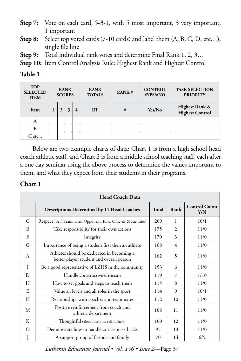- **Step 7:** Vote on each card, 5-3-1, with 5 most important, 3 very important, 1 important
- **Step 8:** Select top voted cards (7-10 cards) and label them (A, B, C, D, etc…), single file line
- **Step 9:** Total individual rank votes and determine Final Rank 1, 2, 3…

**Step 10:** Item Control Analysis Rule: Highest Rank and Highest Control

### **Table 1**

| <b>TOP</b><br><b>SELECTED</b><br><b>ITEM</b> | <b>RANK</b><br><b>SCORES</b> |   |              | <b>RANK</b><br><b>TOTALS</b> | RANK# | <b>CONTROL</b><br>#YES/#NO | <b>TASK SELECTION</b><br><b>PRIORITY</b> |                                          |
|----------------------------------------------|------------------------------|---|--------------|------------------------------|-------|----------------------------|------------------------------------------|------------------------------------------|
| Item                                         |                              | 2 | $\mathbf{3}$ | 4                            | RT    | #                          | Yes/No                                   | Highest Rank &<br><b>Highest Control</b> |
| А                                            |                              |   |              |                              |       |                            |                                          |                                          |
| B                                            |                              |   |              |                              |       |                            |                                          |                                          |
| C etc                                        |                              |   |              |                              |       |                            |                                          |                                          |

Below are two example charts of data; Chart 1 is from a high school head coach athletic staff, and Chart 2 is from a middle school teaching staff, each after a one day seminar using the above process to determine the values important to them, and what they expect from their students in their programs.

## **Chart 1**

| <b>Head Coach Data</b> |                                                                                         |              |                             |                             |
|------------------------|-----------------------------------------------------------------------------------------|--------------|-----------------------------|-----------------------------|
|                        | <b>Descriptions Determined by 11 Head Coaches</b>                                       | <b>Total</b> | Rank                        | <b>Control Count</b><br>Y/N |
| C                      | Respect (Self, Teammates, Opponent, Fans, Officials & Facilities)                       | 209          | 1                           | 10/1                        |
| B                      | Take responsibility for their own actions                                               | 175          | $\mathcal{D}_{\mathcal{L}}$ | 11/0                        |
| F                      | Integrity                                                                               | 170          | 3                           | 11/0                        |
| G                      | Importance of being a student first then an athlete                                     | 168          | 4                           | 11/0                        |
| A                      | Athletes should be dedicated in becoming a<br>better player, student and overall person | 162          | 5                           | 11/0                        |
| I                      | Be a good representative of LZHS in the community                                       | 153          | 6                           | 11/0                        |
| D                      | Handle constructive criticism                                                           | 119          | 7                           | 1/10                        |
| H                      | How to set goals and steps to reach them                                                | 115          | 8                           | 11/0                        |
| E                      | Value all levels and all roles in the sport                                             | 114          | 9                           | 10/1                        |
| N                      | Relationships with coaches and teammates                                                | 112          | 10                          | 11/0                        |
| M                      | Positive reinforcement from coach and<br>athletic department                            | 108          | 11                          | 11/0                        |
| К                      | Thoughtful (about actions, self, others)                                                | 100          | 12                          | 11/0                        |
| $\Omega$               | Demonstrate how to handle criticism, setbacks                                           | 95           | 13                          | 11/0                        |
| J                      | A support group of friends and family                                                   | 70           | 14                          | 6/5                         |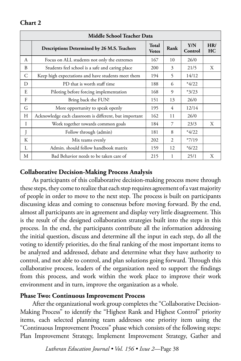## **Chart 2**

| <b>Middle School Teacher Data</b> |                                                        |                              |                             |                |           |
|-----------------------------------|--------------------------------------------------------|------------------------------|-----------------------------|----------------|-----------|
|                                   | Descriptions Determined by 26 M.S. Teachers            | <b>Total</b><br><b>Votes</b> | Rank                        | Y/N<br>Control | HR/<br>HC |
| A                                 | Focus on ALL students not only the extremes            | 167                          | 10                          | 26/0           |           |
| B                                 | Students feel school is a safe and caring place        | 200                          | 3                           | 21/5           | X         |
| C                                 | Keep high expectations and have students meet them     | 194                          | 5                           | 14/12          |           |
| D                                 | PD that is worth staff time                            | 188                          | 6                           | $*4/22$        |           |
| E                                 | Piloting before forcing implementation                 | 168                          | 9                           | $*3/23$        |           |
| F                                 | Bring back the FUN!                                    | 151                          | 13                          | 26/0           |           |
| G                                 | More opportunity to speak openly                       | 195                          | 4                           | 12/14          |           |
| Н                                 | Acknowledge each classroom is different, but important | 162                          | 11                          | 26/0           |           |
| I                                 | Work together towards common goals                     | 184                          | 7                           | 23/3           | X         |
|                                   | Follow through (admin)                                 | 181                          | 8                           | $*4/22$        |           |
| K                                 | Mix teams evenly                                       | 202                          | $\mathcal{D}_{\mathcal{L}}$ | $*7/19$        |           |
| L                                 | Admin. should follow handbook matrix                   | 159                          | 12                          | $*6/22$        |           |
| М                                 | Bad Behavior needs to be taken care of                 | 215                          |                             | 25/1           | X         |

## **Collaborative Decision-Making Process Analysis**

As participants of this collaborative decision-making process move through these steps, they come to realize that each step requires agreement of a vast majority of people in order to move to the next step. The process is built on participants discussing ideas and coming to consensus before moving forward. By the end, almost all participants are in agreement and display very little disagreement. This is the result of the designed collaboration strategies built into the steps in this process. In the end, the participants contribute all the information addressing the initial question, discuss and determine all the input in each step, do all the voting to identify priorities, do the final ranking of the most important items to be analyzed and addressed, debate and determine what they have authority to control, and not able to control, and plan solutions going forward. Through this collaborative process, leaders of the organization need to support the findings from this process, and work within the work place to improve their work environment and in turn, improve the organization as a whole.

## **Phase Two: Continuous Improvement Process**

After the organizational work group completes the "Collaborative Decision-Making Process" to identify the "Highest Rank and Highest Control" priority items, each selected planning team addresses one priority item using the "Continuous Improvement Process" phase which consists of the following steps: Plan Improvement Strategy, Implement Improvement Strategy, Gather and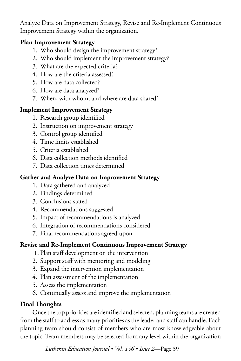Analyze Data on Improvement Strategy, Revise and Re-Implement Continuous Improvement Strategy within the organization.

# **Plan Improvement Strategy**

- 1. Who should design the improvement strategy?
- 2. Who should implement the improvement strategy?
- 3. What are the expected criteria?
- 4. How are the criteria assessed?
- 5. How are data collected?
- 6. How are data analyzed?
- 7. When, with whom, and where are data shared?

# **Implement Improvement Strategy**

- 1. Research group identified
- 2. Instruction on improvement strategy
- 3. Control group identified
- 4. Time limits established
- 5. Criteria established
- 6. Data collection methods identified
- 7. Data collection times determined

# **Gather and Analyze Data on Improvement Strategy**

- 1. Data gathered and analyzed
- 2. Findings determined
- 3. Conclusions stated
- 4. Recommendations suggested
- 5. Impact of recommendations is analyzed
- 6. Integration of recommendations considered
- 7. Final recommendations agreed upon

# **Revise and Re-Implement Continuous Improvement Strategy**

- 1. Plan staff development on the intervention
- 2. Support staff with mentoring and modeling
- 3. Expand the intervention implementation
- 4. Plan assessment of the implementation
- 5. Assess the implementation
- 6. Continually assess and improve the implementation

# **Final Thoughts**

Once the top priorities are identified and selected, planning teams are created from the staff to address as many priorities as the leader and staff can handle. Each planning team should consist of members who are most knowledgeable about the topic. Team members may be selected from any level within the organization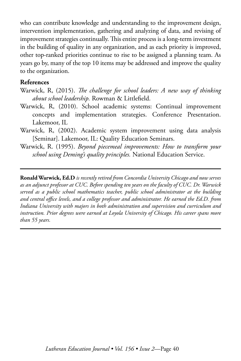who can contribute knowledge and understanding to the improvement design, intervention implementation, gathering and analyzing of data, and revising of improvement strategies continually. This entire process is a long-term investment in the building of quality in any organization, and as each priority is improved, other top-ranked priorities continue to rise to be assigned a planning team. As years go by, many of the top 10 items may be addressed and improve the quality to the organization.

#### **References**

- Warwick, R, (2015). *The challenge for school leaders: A new way of thinking about school leadership.* Rowman & Littlefield.
- Warwick, R, (2010). School academic systems: Continual improvement concepts and implementation strategies. Conference Presentation. Lakemoor, IL
- Warwick, R, (2002). Academic system improvement using data analysis [Seminar]. Lakemoor, IL: Quality Education Seminars.
- Warwick, R. (1995). *Beyond piecemeal improvements: How to transform your school using Deming's quality principles.* National Education Service.

**Ronald Warwick, Ed.D** *is recently retired from Concordia University Chicago and now serves as an adjunct professor at CUC. Before spending ten years on the faculty of CUC. Dr. Warwick served as a public school mathematics teacher, public school administrator at the building and central office levels, and a college professor and administrator. He earned the Ed.D. from Indiana University with majors in both administration and supervision and curriculum and instruction. Prior degrees were earned at Loyola University of Chicago. His career spans more than 55 years.*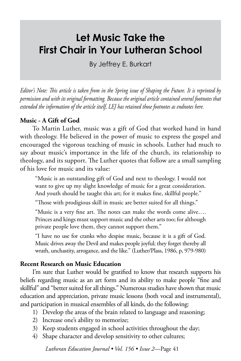# **Let Music Take the First Chair in Your Lutheran School**

By Jeffrey E. Burkart

*Editor's Note: This article is taken from in the Spring issue of Shaping the Future. It is reprinted by permission and with its original formatting. Because the original article contained several footnotes that extended the information of the article itself, LEJ has retained those footnotes as endnotes here.*

## **Music - A Gift of God**

To Martin Luther, music was a gift of God that worked hand in hand with theology. He believed in the power of music to express the gospel and encouraged the vigorous teaching of music in schools. Luther had much to say about music's importance in the life of the church, its relationship to theology, and its support. The Luther quotes that follow are a small sampling of his love for music and its value:

"Music is an outstanding gift of God and next to theology. I would not want to give up my slight knowledge of music for a great consideration. And youth should be taught this art; for it makes fine, skillful people."

"Those with prodigious skill in music are better suited for all things."

"Music is a very fine art. The notes can make the words come alive…. Princes and kings must support music and the other arts too; for although private people love them, they cannot support them."

"I have no use for cranks who despise music, because it is a gift of God. Music drives away the Devil and makes people joyful; they forget thereby all wrath, unchastity, arrogance, and the like." (Luther/Plass, 1986, p, 979-980)

## **Recent Research on Music Education**

I'm sure that Luther would be gratified to know that research supports his beliefs regarding music as an art form and its ability to make people "fine and skillful" and "better suited for all things." Numerous studies have shown that music education and appreciation, private music lessons (both vocal and instrumental), and participation in musical ensembles of all kinds, do the following:

- 1) Develop the areas of the brain related to language and reasoning;
- 2) Increase one's ability to memorize;
- 3) Keep students engaged in school activities throughout the day;
- 4) Shape character and develop sensitivity to other cultures;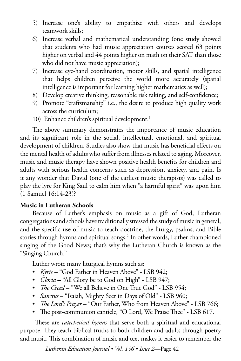- 5) Increase one's ability to empathize with others and develops teamwork skills;
- 6) Increase verbal and mathematical understanding (one study showed that students who had music appreciation courses scored 63 points higher on verbal and 44 points higher on math on their SAT than those who did not have music appreciation);
- 7) Increase eye-hand coordination, motor skills, and spatial intelligence that helps children perceive the world more accurately (spatial intelligence is important for learning higher mathematics as well);
- 8) Develop creative thinking, reasonable risk taking, and self-confidence;
- 9) Promote "craftsmanship" i.e., the desire to produce high quality work across the curriculum;
- 10) Enhance children's spiritual development.<sup>1</sup>

The above summary demonstrates the importance of music education and its significant role in the social, intellectual, emotional, and spiritual development of children. Studies also show that music has beneficial effects on the mental health of adults who suffer from illnesses related to aging. Moreover, music and music therapy have shown positive health benefits for children and adults with serious health concerns such as depression, anxiety, and pain. Is it any wonder that David (one of the earliest music therapists) was called to play the lyre for King Saul to calm him when "a harmful spirit" was upon him (1 Samuel 16:14-23)?

#### **Music in Lutheran Schools**

Because of Luther's emphasis on music as a gift of God, Lutheran congregations and schools have traditionally stressed the study of music in general, and the specific use of music to teach doctrine, the liturgy, psalms, and Bible stories through hymns and spiritual songs.<sup>2</sup> In other words, Luther championed singing of the Good News; that's why the Lutheran Church is known as the "Singing Church."

Luther wrote many liturgical hymns such as:

- *Kyrie* "God Father in Heaven Above" LSB 942;
- *Gloria* "All Glory be to God on High" LSB 947;
- *The Creed* "We all Believe in One True God" LSB 954;
- *Sanctus* "Isaiah, Mighty Seer in Days of Old" LSB 960;
- *The Lord's Prayer*  "Our Father, Who from Heaven Above" LSB 766;
- The post-communion canticle, "O Lord, We Praise Thee" LSB 617.

 These are *catechetical hymns* that serve both a spiritual and educational purpose. They teach biblical truths to both children and adults through poetry and music. This combination of music and text makes it easier to remember the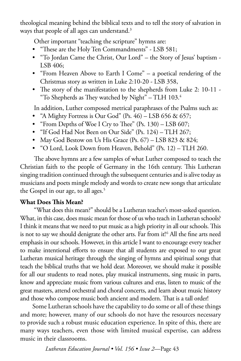theological meaning behind the biblical texts and to tell the story of salvation in ways that people of all ages can understand.<sup>3</sup>

Other important "teaching the scripture" hymns are:

- "These are the Holy Ten Commandments" LSB 581;
- "To Jordan Came the Christ, Our Lord" the Story of Jesus' baptism LSB 406;
- "From Heaven Above to Earth I Come" a poetical rendering of the Christmas story as written in Luke 2:10-20 - LSB 358,
- The story of the manifestation to the shepherds from Luke 2: 10-11 "To Shepherds as They watched by Night" – TLH  $103<sup>4</sup>$

In addition, Luther composed metrical paraphrases of the Psalms such as:

- "A Mighty Fortress is Our God" (Ps.  $46$ ) LSB 656 & 657;
- "From Depths of Woe I Cry to Thee" (Ps. 130) LSB 607;
- "If God Had Not Been on Our Side" (Ps. 124) TLH 267;
- May God Bestow on Us His Grace  $(Ps. 67) LSB 823 \& 824;$
- "O Lord, Look Down from Heaven, Behold" (Ps. 12) TLH 260.

 The above hymns are a few samples of what Luther composed to teach the Christian faith to the people of Germany in the 16th century. This Lutheran singing tradition continued through the subsequent centuries and is alive today as musicians and poets mingle melody and words to create new songs that articulate the Gospel in our age, to all ages.<sup>5</sup>

## **What Does This Mean?**

 "What does this mean?" should be a Lutheran teacher's most-asked question. What, in this case, does music mean for those of us who teach in Lutheran schools? I think it means that we need to put music as a high priority in all our schools. This is not to say we should denigrate the other arts. Far from it!6 All the fine arts need emphasis in our schools. However, in this article I want to encourage every teacher to make intentional efforts to ensure that all students are exposed to our great Lutheran musical heritage through the singing of hymns and spiritual songs that teach the biblical truths that we hold dear. Moreover, we should make it possible for all our students to read notes, play musical instruments, sing music in parts, know and appreciate music from various cultures and eras, listen to music of the great masters, attend orchestral and choral concerts, and learn about music history and those who compose music both ancient and modern. That is a tall order!

Some Lutheran schools have the capability to do some or all of these things and more; however, many of our schools do not have the resources necessary to provide such a robust music education experience. In spite of this, there are many ways teachers, even those with limited musical expertise, can address music in their classrooms.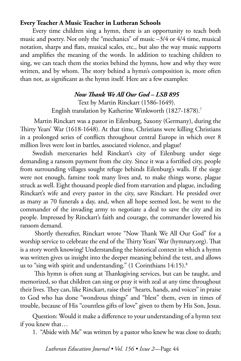#### **Every Teacher A Music Teacher in Lutheran Schools**

Every time children sing a hymn, there is an opportunity to teach both music and poetry. Not only the "mechanics" of music –3/4 or 4/4 time, musical notation, sharps and flats, musical scales, etc., but also the way music supports and amplifies the meaning of the words. In addition to teaching children to sing, we can teach them the stories behind the hymns, how and why they were written, and by whom. The story behind a hymn's composition is, more often than not, as significant as the hymn itself. Here are a few examples:

#### *Now Thank We All Our God – LSB 895*

Text by Martin Rinckart (1586-1649). English translation by Katherine Winkworth (1827-1878).7

 Martin Rinckart was a pastor in Eilenburg, Saxony (Germany), during the Thirty Years' War (1618-1648). At that time, Christians were killing Christians in a prolonged series of conflicts throughout central Europe in which over 8 million lives were lost in battles, associated violence, and plague!

Swedish mercenaries held Rinckart's city of Eilenburg under siege demanding a ransom payment from the city. Since it was a fortified city, people from surrounding villages sought refuge behinds Eilenburg's walls. If the siege were not enough, famine took many lives and, to make things worse, plague struck as well. Eight thousand people died from starvation and plague, including Rinckart's wife and every pastor in the city, save Rinckart. He presided over as many as 70 funerals a day, and, when all hope seemed lost, he went to the commander of the invading army to negotiate a deal to save the city and its people. Impressed by Rinckart's faith and courage, the commander lowered his ransom demand.

 Shortly thereafter, Rinckart wrote "Now Thank We All Our God" for a worship service to celebrate the end of the Thirty Years' War (hymnary.org). That is a story worth knowing! Understanding the historical context in which a hymn was written gives us insight into the deeper meaning behind the text, and allows us to "sing with spirit and understanding." (1 Corinthians 14:15).<sup>8</sup>

 This hymn is often sung at Thanksgiving services, but can be taught, and memorized, so that children can sing or pray it with zeal at any time throughout their lives. They can, like Rinckart, raise their "hearts, hands, and voices" in praise to God who has done "wondrous things" and "blest" them, even in times of trouble, because of His "countless gifts of love" given to them by His Son, Jesus.

Question: Would it make a difference to your understanding of a hymn text if you knew that…

1. "Abide with Me" was written by a pastor who knew he was close to death;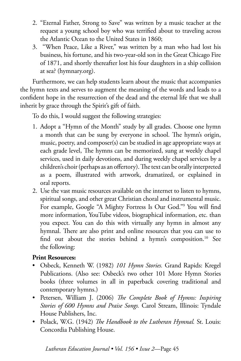- 2. "Eternal Father, Strong to Save" was written by a music teacher at the request a young school boy who was terrified about to traveling across the Atlantic Ocean to the United States in 1860;
- 3. "When Peace, Like a River," was written by a man who had lost his business, his fortune, and his two-year-old son in the Great Chicago Fire of 1871, and shortly thereafter lost his four daughters in a ship collision at sea? (hymnary.org).

Furthermore, we can help students learn about the music that accompanies the hymn texts and serves to augment the meaning of the words and leads to a confident hope in the resurrection of the dead and the eternal life that we shall inherit by grace through the Spirit's gift of faith.

To do this, I would suggest the following strategies:

- 1. Adopt a "Hymn of the Month" study by all grades. Choose one hymn a month that can be sung by everyone in school. The hymn's origin, music, poetry, and composer(s) can be studied in age appropriate ways at each grade level, The hymns can be memorized, sung at weekly chapel services, used in daily devotions, and during weekly chapel services by a children's choir (perhaps as an offertory). The text can be orally interpreted as a poem, illustrated with artwork, dramatized, or explained in oral reports.
- 2. Use the vast music resources available on the internet to listen to hymns, spiritual songs, and other great Christian choral and instrumental music. For example, Google "A Mighty Fortress Is Our God."9 You will find more information, YouTube videos, biographical information, etc. than you expect. You can do this with virtually any hymn in almost any hymnal. There are also print and online resources that you can use to find out about the stories behind a hymn's composition.<sup>10</sup> See the following:

## **Print Resources:**

- Osbeck, Kenneth W. (1982) *101 Hymn Stories.* Grand Rapids: Kregel Publications. (Also see: Osbeck's two other 101 More Hymn Stories books (three volumes in all in paperback covering traditional and contemporary hymns.)
- Petersen, William J. (2006) *The Complete Book of Hymns: Inspiring Stories of 600 Hymns and Praise Songs.* Carol Stream, Illinois: Tyndale House Publishers, Inc.
- Polack, W.G. (1942) *The Handbook to the Lutheran Hymnal.* St. Louis: Concordia Publishing House.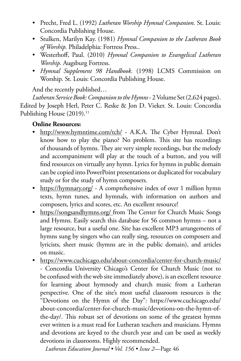- Precht, Fred L. (1992) *Lutheran Worship Hymnal Companion.* St. Louis: Concordia Publishing House.
- Stulken, Marilyn Kay. (1981) *Hymnal Companion to the Lutheran Book of Worship.* Philadelphia: Fortress Press..
- Westerhoff, Paul. (2010) *Hymnal Companion to Evangelical Lutheran Worship.* Augsburg Fortress.
- *Hymnal Supplement 98 Handbook.* (1998) LCMS Commission on Worship. St. Louis: Concordia Publishing House.

And the recently published…

*Lutheran Service Book: Companion to the Hymns* - 2 Volume Set (2,624 pages). Edited by Joseph Herl, Peter C. Reske & Jon D. Vieker. St. Louis: Concordia Publishing House  $(2019).$ <sup>11</sup>

# **Online Resources:**

- <http://www.hymntime.com/tch/> A.K.A. The Cyber Hymnal. Don't know how to play the piano? No problem. This site has recordings of thousands of hymns. They are very simple recordings, but the melody and accompaniment will play at the touch of a button, and you will find resources on virtually any hymn. Lyrics for hymns in public domain can be copied into PowerPoint presentations or duplicated for vocabulary study or for the study of hymn composers.
- <https://hymnary.org/> A comprehensive index of over 1 million hymn texts, hymn tunes, and hymnals, with information on authors and composers, lyrics and scores, etc. An excellent resource!
- [https://songsandhymns.org/](https://songsandhymns.org/ ) from The Center for Church Music Songs and Hymns. Easily search this database for 56 common hymns – not a large resource, but a useful one. Site has excellent MP3 arrangements of hymns sung by singers who can really sing, resources on composers and lyricists, sheet music (hymns are in the public domain), and articles on music.
- <https://www.cuchicago.edu/about-concordia/center-for-church-music/> - Concordia University Chicago's Center for Church Music (not to be confused with the web site immediately above), is an excellent resource for learning about hymnody and church music from a Lutheran perspective. One of the site's most useful classroom resources is the "Devotions on the Hymn of the Day": https://www.cuchicago.edu/ about-concordia/center-for-church-music/devotions-on-the-hymn-ofthe-day/. This robust set of devotions on some of the greatest hymns ever written is a must read for Lutheran teachers and musicians. Hymns and devotions are keyed to the church year and can be used as weekly devotions in classrooms. Highly recommended.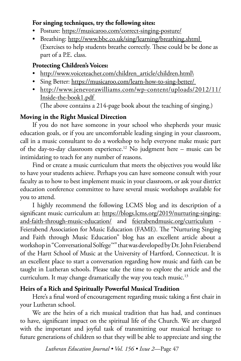## **For singing techniques, try the following sites:**

- Posture:<https://musicaroo.com/correct-singing-posture/>
- Breathing: http://www.bbc.co.uk/sing/learning/breathing.shtml (Exercises to help students breathe correctly. These could be be done as part of a P.E. class.

## **Protecting Children's Voices:**

- [http://www.voiceteacher.com/children\\_article/children.html\](http://www.voiceteacher.com/children_article/children.html\)
- Sing Better: https://musicaroo.com/learn-how-to-sing-better/
- [http://www.jenevorawilliams.com/wp-content/uploads/2012/11/](http://www.jenevorawilliams.com/wp-content/uploads/2012/11/  Inside-the-book1.pdf ) [Inside-the-book1.pdf](http://www.jenevorawilliams.com/wp-content/uploads/2012/11/  Inside-the-book1.pdf )

(The above contains a 214-page book about the teaching of singing.)

## **Moving in the Right Musical Direction**

If you do not have someone in your school who shepherds your music education goals, or if you are uncomfortable leading singing in your classroom, call in a music consultant to do a workshop to help everyone make music part of the day-to-day classroom experience.12 No judgment here – music can be intimidating to teach for any number of reasons.

Find or create a music curriculum that meets the objectives you would like to have your students achieve. Perhaps you can have someone consult with your faculty as to how to best implement music in your classroom, or ask your district education conference committee to have several music workshops available for you to attend.

I highly recommend the following LCMS blog and its description of a significant music curriculum at: [https://blogs.lcms.org/2019/nurturing-singing](https://blogs.lcms.org/2019/nurturing-singing-and-faith-through-music-education/)[and-faith-through-music-education/](https://blogs.lcms.org/2019/nurturing-singing-and-faith-through-music-education/) and [feierabendmusic.org/curriculum](http://feierabendmusic.org/curriculum) - Feierabend Association for Music Education (FAME). The "Nurturing Singing and Faith through Music Education" blog has an excellent article about a workshop in "Conversational Solfege™" that was developed by Dr. John Feierabend of the Hartt School of Music at the University of Hartford, Connecticut. It is an excellent place to start a conversation regarding how music and faith can be taught in Lutheran schools. Please take the time to explore the article and the curriculum. It may change dramatically the way you teach music.<sup>13</sup>

# **Heirs of a Rich and Spiritually Powerful Musical Tradition**

Here's a final word of encouragement regarding music taking a first chair in your Lutheran school.

We are the heirs of a rich musical tradition that has had, and continues to have, significant impact on the spiritual life of the Church. We are charged with the important and joyful task of transmitting our musical heritage to future generations of children so that they will be able to appreciate and sing the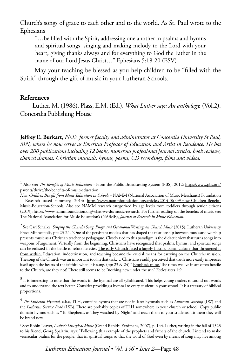Church's songs of grace to each other and to the world. As St. Paul wrote to the Ephesians

"…be filled with the Spirit, addressing one another in psalms and hymns and spiritual songs, singing and making melody to the Lord with your heart, giving thanks always and for everything to God the Father in the name of our Lord Jesus Christ…" Ephesians 5:18-20 (ESV)

 May your teaching be blessed as you help children to be "filled with the Spirit" through the gift of music in your Lutheran Schools.

#### **References**

Luther, M. (1986). Plass, E.M. (Ed.). *What Luther says: An anthology.* (Vol.2). Concordia Publishing House

**Jeffrey E. Burkart,** *Ph.D. former faculty and administrator at Concordia University St Paul, MN, where he now serves as Emeritus Professor of Education and Artist in Residence. He has over 200 publications including 12 books, numerous professional journal articles, book reviews, chancel dramas, Christian musicals, hymns, poems, CD recordings, films and videos.*

<sup>2</sup> See Carl Schalk's, *Singing the Church's Song: Essays and Occasional Writings on Church Music* (2015). Lutheran University Press: Minneapolis, pp: 23-24. "One of the persistent models that has shaped the relationship between music and worship presents music as a Christian teacher or pedagogue. Closely tied to this paradigm is the didactic view that turns songs into weapons of argument. Virtually from the beginning, Christians have recognized that psalms, hymns, and spiritual songs can be enlisted in the battle to refute heresies. The early Church faced a largely hostile, pagan culture that threatened it from within. Education, indoctrination, and teaching became the crucial means for carrying on the Church's mission. The song of the Church was an important tool in that task…. Christians readily perceived that truth more easily impresses itself upon the hearts of the faithful when it is sung. (pp: 23 & 24)." Emphasis mine. The times we live in are often hostile to the Church, are they not? There still seems to be "nothing new under the sun" Ecclesiastes 1:9.

 $^3$  It is interesting to note that the words in the hymnal are all syllabicated. This helps young readers to sound out words and to understand the text better. Consider providing a hymnal to every student in your school. It is a treasury of biblical proportions.

<sup>4</sup> *The Lutheran Hymnal,* a.k.a, TLH, contains hymns that are not in later hymnals such as *Lutheran Worship* (LW) and the *Lutheran Service Book* (LSB). There are probably copies of TLH somewhere in your church or school. Copy public domain hymns such as "To Shepherds as They watched by Night" and teach them to your students. To them they will be brand new.

5 See: Robin Leaver, *Luther's Liturgical Music* (Grand Rapids: Eerdmans, 2007), p. 144. Luther, writing in the fall of 1523 to his friend, Georg Spalatin, says: "Following this example of the prophets and fathers of the church, I intend to make vernacular psalms for the people, that is, spiritual songs so that the word of God even by means of song may live among

<sup>&</sup>lt;sup>1</sup> Also see: *The Benefits of Music Education* - From the Public Broadcasting System (PBS), 2012: [https://www.pbs.org/](https://www.pbs.org/parents/thrive/the-benefits-of-music-education) [parents/thrive/the-benefits-of-music-education](https://www.pbs.org/parents/thrive/the-benefits-of-music-education)

*How Children Benefit from Music Education in Schools* – NAMM (National Association of Music Merchants) Foundation – Research based summary, 2014: [https://www.nammfoundation.org/articles/2014-06-09/How-Children-Benefit-](https://www.nammfoundation.org/articles/2014-06-09/How-Children-Benefit-Music-Education-Schools)[Music-Education-Schools;](https://www.nammfoundation.org/articles/2014-06-09/How-Children-Benefit-Music-Education-Schools) Also see NAMM research categorized by age levels from toddlers through senior citizens (2019): [https://www.nammfoundation.org/what-we-do/music-research.](https://www.nammfoundation.org/what-we-do/music-research) For further reading on the benefits of music see: The National Association for Music Education's (NAfME), *Journal of Research in Music Education.*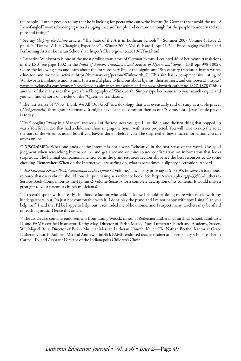the people." Luther goes on to say that he is looking for poets who can write hymns (in German) that avoid the use of "new-fangled" words for congregational singing that are "simple and common enough for the people to understand yet pure and fitting."

6 See my *Shaping the Future* articles: "The State of the Arts in Lutheran Schools," - Summer 2007 Volume 4, Issue 2, pp: 6-9; "Drama: A Life Changing Experience" - Winter 2009, Vol. 6, Issue 4, pp: 21-24. "Encouraging the Fine and Performing Arts in Lutheran Schools" at: [http://stf.lea.org/winter2019/ETnet.html.](http://stf.lea.org/winter2019/ETnet.html)

7 Catherine Winkworth is one of the most prolific translators of German hymns. I counted 46 of her hymn translations in the LSB (see page 1002 in the *Index of Author, Translators, and Sources of Hymns and Songs* - LSB pp: 998-1002). Go to the following sites and learn about the extraordinary life of this significant 19th century translator, hymn writer, educator, and women's activist: [https://hymnary.org/person/Winkworth\\_C](https://hymnary.org/person/Winkworth_C) (This site has a comprehensive listing of Winkworth translations and hymns. It is a useful place to find out about hymns, their authors, and composers.); [https://](https://www.encyclopedia.com/women/encyclopedias-almanacs-transcripts-and-maps/winkworth-catherine-1827-1878) [www.encyclopedia.com/women/encyclopedias-almanacs-transcripts-and-maps/winkworth-catherine-1827-1878](https://www.encyclopedia.com/women/encyclopedias-almanacs-transcripts-and-maps/winkworth-catherine-1827-1878) (This is another of the many sites that give a brief biography of Winkworth. Simply type her name into your search engine and you will find all sorts of articles on the "Queen of Translators."

8 The last stanza of "Now Thank We All Our God" is a doxology that was eventually said or sung as a table prayer (*Tischgebetlein*) throughout Germany. It might have been as common then as our "Come, Lord Jesus" table prayer is today.

9 Try Googling "Away in a Manger" and see all of the resources you get. I just did it, and the first thing that popped up was a YouTube video that had a children's choir singing the hymn with lyrics projected. You will have to skip the ad at the start of the video, as usual, but, if you haven't done it before, you'll be surprised at how much information you can access online.

<sup>10</sup> DISCLAIMER: What one finds on the internet is not always "scholarly" in the best sense of the word. Use good judgment when researching hymns online and get a second or third source confirmation on information that looks suspicious. The hymnal companions mentioned in the print resources section above are the best resources to do some checking. **Remember:** When on the internet you are surfing on, what is sometimes, a slippery electronic surfboard.

<sup>11</sup> *The Lutheran Service Book: Companion to the Hymns* (2 Volumes) has a hefty price tag at \$179.95, however, it is a robust resource that every church should consider purchasing as a reference book. See: [https://www.cph.org/p-33586-Lutheran-](https://www.cph.org/p-33586-Lutheran-Service-Book-Companion-to-the-Hymns-2-Volume-Set.aspx)[Service-Book-Companion-to-the-Hymns-2-Volume-Set.aspx](https://www.cph.org/p-33586-Lutheran-Service-Book-Companion-to-the-Hymns-2-Volume-Set.aspx) for a complete description of its contents. It would make a great gift to your pastor or church musician(s).

 $12$  I recently spoke with an early childhood educator who said, "I know I should be doing more with music with my kindergartners, but I'm just not comfortable with it. I don't play the piano and I'm not happy with how I sing. Can you help me?" I said that I'd be happy to help, but it reminded me of how some, and I suspect many, teachers may be afraid of teaching music. Hence this article.

<sup>13</sup> The article also contains endorsements from: Emily Woock, cantor at Redeemer Lutheran Church & School, Elmhurst, IL and FAME certified instructor; Kathy May, Director of Parish Music, Peace Lutheran Church and Academy, Sussex, WI; Miguel Ruiz, Director of Parish Music at Messiah Lutheran Church, Keller, TX; Nathan Beethe, Kantor at Grace Lutheran Church, Auburn, MI; and Andrew Himelick FAME-endorsed teacher/trainer and elementary school teacher in Carmel, IN and Assistant Director of the Indianapolis Children's Choir.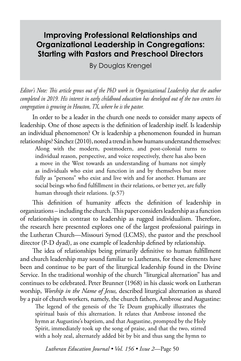# **Improving Professional Relationships and Organizational Leadership in Congregations: Starting with Pastors and Preschool Directors**

By Douglas Krengel

*Editor's Note: This article grows out of the PhD work in Organizational Leadership that the author completed in 2019. His interest in early childhood education has developed out of the two centers his congregation is growing in Houston, TX, where he is the pastor.* 

In order to be a leader in the church one needs to consider many aspects of leadership. One of those aspects is the definition of leadership itself. Is leadership an individual phenomenon? Or is leadership a phenomenon founded in human relationships? Sánchez (2010), noted a trend in how humans understand themselves:

Along with the modern, postmodern, and post-colonial turns to individual reason, perspective, and voice respectively, there has also been a move in the West towards an understanding of humans not simply as individuals who exist and function in and by themselves but more fully as "persons" who exist and live with and for another. Humans are social beings who find fulfillment in their relations, or better yet, are fully human through their relations. (p.57)

This definition of humanity affects the definition of leadership in organizations – including the church. This paper considers leadership as a function of relationships in contrast to leadership as rugged individualism. Therefore, the research here presented explores one of the largest professional pairings in the Lutheran Church—Missouri Synod (LCMS), the pastor and the preschool director (P-D dyad), as one example of leadership defined by relationship.

The idea of relationships being primarily definitive to human fulfillment and church leadership may sound familiar to Lutherans, for these elements have been and continue to be part of the liturgical leadership found in the Divine Service. In the traditional worship of the church "liturgical alternation" has and continues to be celebrated. Peter Brunner (1968) in his classic work on Lutheran worship, *Worship in the Name of Jesus,* described liturgical alternation as shared by a pair of church workers, namely, the church fathers, Ambrose and Augustine:

The legend of the genesis of the Te Deum graphically illustrates the spiritual basis of this alternation. It relates that Ambrose intoned the hymn at Augustine's baptism, and that Augustine, prompted by the Holy Spirit, immediately took up the song of praise, and that the two, stirred with a holy zeal, alternately added bit by bit and thus sang the hymn to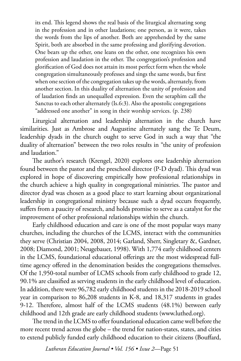its end. This legend shows the real basis of the liturgical alternating song in the profession and in other laudations; one person, as it were, takes the words from the lips of another. Both are apprehended by the same Spirit, both are absorbed in the same professing and glorifying devotion. One bears up the other, one leans on the other, one recognizes his own profession and laudation in the other. The congregation's profession and glorification of God does not attain its most perfect form when the whole congregation simultaneously professes and sings the same words, but first when one section of the congregation takes up the words, alternately, from another section. In this duality of alternation the unity of profession and of laudation finds an unequalled expression. Even the seraphim call the Sanctus to each other alternately (Is.6:3). Also the apostolic congregations "addressed one another" in song in their worship services. (p. 238)

Liturgical alternation and leadership alternation in the church have similarities. Just as Ambrose and Augustine alternately sang the Te Deum, leadership dyads in the church ought to serve God in such a way that "the duality of alternation" between the two roles results in "the unity of profession and laudation."

The author's research (Krengel, 2020) explores one leadership alternation found between the pastor and the preschool director (P-D dyad). This dyad was explored in hope of discovering empirically how professional relationships in the church achieve a high quality in congregational ministries. The pastor and director dyad was chosen as a good place to start learning about organizational leadership in congregational ministry because such a dyad occurs frequently, suffers from a paucity of research, and holds promise to serve as a catalyst for the improvement of other professional relationships within the church.

Early childhood education and care is one of the most popular ways many churches, including the churches of the LCMS, interact with the communities they serve (Christian 2004, 2008, 2014; Garland, Sherr, Singletary &, Gardner, 2008; Diamond, 2001; Neugebauer, 1998). With 1,774 early childhood centers in the LCMS, foundational educational offerings are the most widespread fulltime agency offered in the denomination besides the congregations themselves. Of the 1,950-total number of LCMS schools from early childhood to grade 12, 90.1% are classified as serving students in the early childhood level of education. In addition, there were 96,782 early childhood students in the 2018-2019 school year in comparison to 86,208 students in K-8, and 18,317 students in grades 9-12. Therefore, almost half of the LCMS students (48.1%) between early childhood and 12th grade are early childhood students (www.luthed.org).

The trend in the LCMS to offer foundational education came well before the more recent trend across the globe – the trend for nation-states, states, and cities to extend publicly funded early childhood education to their citizens (Bouffard,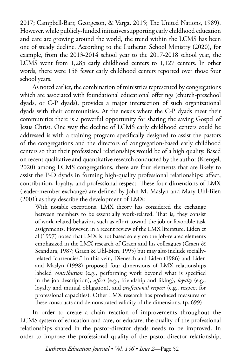2017; Campbell-Barr, Georgeson, & Varga, 2015; The United Nations, 1989). However, while publicly-funded initiatives supporting early childhood education and care are growing around the world, the trend within the LCMS has been one of steady decline. According to the Lutheran School Ministry (2020), for example, from the 2013-2014 school year to the 2017-2018 school year, the LCMS went from 1,285 early childhood centers to 1,127 centers. In other words, there were 158 fewer early childhood centers reported over those four school years.

As noted earlier, the combination of ministries represented by congregations which are associated with foundational educational offerings (church-preschool dyads, or C-P dyads), provides a major intersection of such organizational dyads with their communities. At the nexus where the C-P dyads meet their communities there is a powerful opportunity for sharing the saving Gospel of Jesus Christ. One way the decline of LCMS early childhood centers could be addressed is with a training program specifically designed to assist the pastors of the congregations and the directors of congregation-based early childhood centers so that their professional relationships would be of a high quality. Based on recent qualitative and quantitative research conducted by the author (Krengel, 2020) among LCMS congregations, there are four elements that are likely to assist the P-D dyads in forming high-quality professional relationships: affect, contribution, loyalty, and professional respect. These four dimensions of LMX (leader-member exchange) are defined by John M. Maslyn and Mary Uhl-Bien (2001) as they describe the development of LMX:

With notable exceptions, LMX theory has considered the exchange between members to be essentially work-related. That is, they consist of work-related behaviors such as effort toward the job or favorable task assignments. However, in a recent review of the LMX literature, Liden et al (1997) noted that LMX is not based solely on the job-related elements emphasized in the LMX research of Graen and his colleagues (Graen & Scandura, 1987; Graen & Uhl-Bien, 1995) but may also include sociallyrelated "currencies." In this vein, Dienesch and Liden (1986) and Liden and Maslyn (1998) proposed four dimensions of LMX relationships labeled *contribution* (e.g., performing work beyond what is specified in the job description), *affect* (e.g., friendship and liking), *loyalty* (e.g., loyalty and mutual obligation), and *professional respect* (e.g., respect for professional capacities). Other LMX research has produced measures of these constructs and demonstrated validity of the dimensions. (p. 699)

In order to create a chain reaction of improvements throughout the LCMS system of education and care, or educare, the quality of the professional relationships shared in the pastor-director dyads needs to be improved. In order to improve the professional quality of the pastor-director relationship,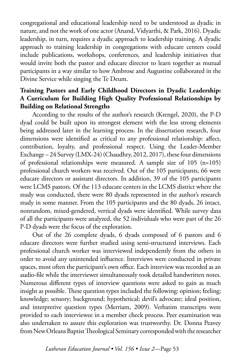congregational and educational leadership need to be understood as dyadic in nature, and not the work of one actor (Anand, Vidyarthi, & Park, 2016). Dyadic leadership, in turn, requires a dyadic approach to leadership training. A dyadic approach to training leadership in congregations with educare centers could include publications, workshops, conferences, and leadership initiatives that would invite both the pastor and educare director to learn together as mutual participants in a way similar to how Ambrose and Augustine collaborated in the Divine Service while singing the Te Deum.

## **Training Pastors and Early Childhood Directors in Dyadic Leadership: A Curriculum for Building High Quality Professional Relationships by Building on Relational Strengths**

According to the results of the author's research (Krengel, 2020), the P-D dyad could be built upon its strongest element with the less strong elements being addressed later in the learning process. In the dissertation research, four dimensions were identified as critical to any professional relationship: affect, contribution, loyalty, and professional respect. Using the Leader-Member Exchange – 24 Survey (LMX-24) (Chaudhry, 2012, 2017), these four dimensions of professional relationships were measured. A sample size of 105 (n=105) professional church workers was received. Out of the 105 participants, 66 were educare directors or assistant directors. In addition, 39 of the 105 participants were LCMS pastors. Of the 113 educare centers in the LCMS district where the study was conducted, there were 80 dyads represented in the author's research study in some manner. From the 105 participants and the 80 dyads, 26 intact, nonrandom, mixed-gendered, vertical dyads were identified. While survey data of all the participants were analyzed, the 52 individuals who were part of the 26 P-D dyads were the focus of the exploration.

Out of the 26 complete dyads, 6 dyads composed of 6 pastors and 6 educare directors were further studied using semi-structured interviews. Each professional church worker was interviewed independently from the others in order to avoid any unintended influence. Interviews were conducted in private spaces, most often the participant's own office. Each interview was recorded as an audio-file while the interviewer simultaneously took detailed handwritten notes. Numerous different types of interview questions were asked to gain as much insight as possible. These question types included the following: opinion; feeling; knowledge; sensory; background; hypothetical; devil's advocate; ideal position, and interpretive question types (Merriam, 2009). Verbatim transcripts were provided to each interviewee in a member check process. Peer examination was also undertaken to assure this exploration was trustworthy. Dr. Donna Peavey from New Orleans Baptist Theological Seminary corresponded with the researcher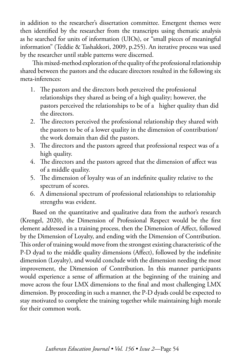in addition to the researcher's dissertation committee. Emergent themes were then identified by the researcher from the transcripts using thematic analysis as he searched for units of information (UIOs), or "small pieces of meaningful information" (Teddie & Tashakkori, 2009, p.255). An iterative process was used by the researcher until stable patterns were discerned.

This mixed-method exploration of the quality of the professional relationship shared between the pastors and the educare directors resulted in the following six meta-inferences:

- 1. The pastors and the directors both perceived the professional relationships they shared as being of a high quality; however, the pastors perceived the relationships to be of a higher quality than did the directors.
- 2. The directors perceived the professional relationship they shared with the pastors to be of a lower quality in the dimension of contribution/ the work domain than did the pastors.
- 3. The directors and the pastors agreed that professional respect was of a high quality.
- 4. The directors and the pastors agreed that the dimension of affect was of a middle quality.
- 5. The dimension of loyalty was of an indefinite quality relative to the spectrum of scores.
- 6. A dimensional spectrum of professional relationships to relationship strengths was evident.

Based on the quantitative and qualitative data from the author's research (Krengel, 2020), the Dimension of Professional Respect would be the first element addressed in a training process, then the Dimension of Affect, followed by the Dimension of Loyalty, and ending with the Dimension of Contribution. This order of training would move from the strongest existing characteristic of the P-D dyad to the middle quality dimensions (Affect), followed by the indefinite dimension (Loyalty), and would conclude with the dimension needing the most improvement, the Dimension of Contribution. In this manner participants would experience a sense of affirmation at the beginning of the training and move across the four LMX dimensions to the final and most challenging LMX dimension. By proceeding in such a manner, the P-D dyads could be expected to stay motivated to complete the training together while maintaining high morale for their common work.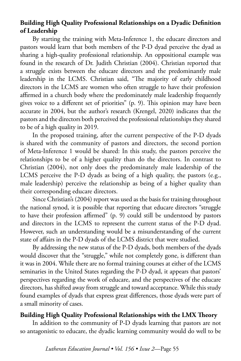## **Building High Quality Professional Relationships on a Dyadic Definition of Leadership**

By starting the training with Meta-Inference 1, the educare directors and pastors would learn that both members of the P-D dyad perceive the dyad as sharing a high-quality professional relationship. An oppositional example was found in the research of Dr. Judith Christian (2004). Christian reported that a struggle exists between the educare directors and the predominantly male leadership in the LCMS. Christian said, "The majority of early childhood directors in the LCMS are women who often struggle to have their profession affirmed in a church body where the predominately male leadership frequently gives voice to a different set of priorities" (p. 9). This opinion may have been accurate in 2004, but the author's research (Krengel, 2020) indicates that the pastors and the directors both perceived the professional relationships they shared to be of a high quality in 2019.

In the proposed training, after the current perspective of the P-D dyads is shared with the community of pastors and directors, the second portion of Meta-Inference 1 would be shared: In this study, the pastors perceive the relationships to be of a higher quality than do the directors. In contrast to Christian (2004), not only does the predominately male leadership of the LCMS perceive the P-D dyads as being of a high quality, the pastors (e.g., male leadership) perceive the relationship as being of a higher quality than their corresponding educare directors.

Since Christian's (2004) report was used as the basis for training throughout the national synod, it is possible that reporting that educare directors "struggle to have their profession affirmed" (p. 9) could still be understood by pastors and directors in the LCMS to represent the current status of the P-D dyad. However, such an understanding would be a misunderstanding of the current state of affairs in the P-D dyads of the LCMS district that were studied.

By addressing the new status of the P-D dyads, both members of the dyads would discover that the "struggle," while not completely gone, is different than it was in 2004. While there are no formal training courses at either of the LCMS seminaries in the United States regarding the P-D dyad, it appears that pastors' perspectives regarding the work of educare, and the perspectives of the educare directors, has shifted away from struggle and toward acceptance. While this study found examples of dyads that express great differences, those dyads were part of a small minority of cases.

## **Building High Quality Professional Relationships with the LMX Theory**

In addition to the community of P-D dyads learning that pastors are not so antagonistic to educare, the dyadic learning community would do well to be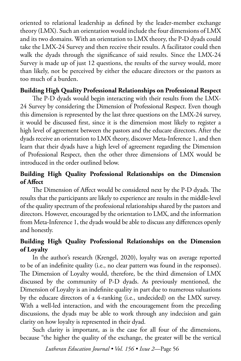oriented to relational leadership as defined by the leader-member exchange theory (LMX). Such an orientation would include the four dimensions of LMX and its two domains. With an orientation to LMX theory, the P-D dyads could take the LMX-24 Survey and then receive their results. A facilitator could then walk the dyads through the significance of said results. Since the LMX-24 Survey is made up of just 12 questions, the results of the survey would, more than likely, not be perceived by either the educare directors or the pastors as too much of a burden.

## **Building High Quality Professional Relationships on Professional Respect**

The P-D dyads would begin interacting with their results from the LMX-24 Survey by considering the Dimension of Professional Respect. Even though this dimension is represented by the last three questions on the LMX-24 survey, it would be discussed first, since it is the dimension most likely to register a high level of agreement between the pastors and the educare directors. After the dyads receive an orientation to LMX theory, discover Meta-Inference 1, and then learn that their dyads have a high level of agreement regarding the Dimension of Professional Respect, then the other three dimensions of LMX would be introduced in the order outlined below.

## **Building High Quality Professional Relationships on the Dimension of Affect**

The Dimension of Affect would be considered next by the P-D dyads. The results that the participants are likely to experience are results in the middle-level of the quality spectrum of the professional relationships shared by the pastors and directors. However, encouraged by the orientation to LMX, and the information from Meta-Inference 1, the dyads would be able to discuss any differences openly and honestly.

## **Building High Quality Professional Relationships on the Dimension of Loyalty**

In the author's research (Krengel, 2020), loyalty was on average reported to be of an indefinite quality (i.e., no clear pattern was found in the responses). The Dimension of Loyalty would, therefore, be the third dimension of LMX discussed by the community of P-D dyads. As previously mentioned, the Dimension of Loyalty is an indefinite quality in part due to numerous valuations by the educare directors of a 4-ranking (i.e., undecided) on the LMX survey. With a well-led interaction, and with the encouragement from the preceding discussions, the dyads may be able to work through any indecision and gain clarity on how loyalty is represented in their dyad.

Such clarity is important, as is the case for all four of the dimensions, because "the higher the quality of the exchange, the greater will be the vertical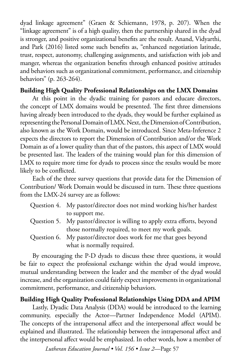dyad linkage agreement" (Graen & Schiemann, 1978, p. 207). When the "linkage agreement" is of a high quality, then the partnership shared in the dyad is stronger, and positive organizational benefits are the result. Anand, Vidyarthi, and Park (2016) listed some such benefits as, "enhanced negotiation latitude, trust, respect, autonomy, challenging assignments, and satisfaction with job and manger, whereas the organization benefits through enhanced positive attitudes and behaviors such as organizational commitment, performance, and citizenship behaviors" (p. 263-264).

## **Building High Quality Professional Relationships on the LMX Domains**

At this point in the dyadic training for pastors and educare directors, the concept of LMX domains would be presented. The first three dimensions having already been introduced to the dyads, they would be further explained as representing the Personal Domain of LMX. Next, the Dimension of Contribution, also known as the Work Domain, would be introduced. Since Meta-Inference 2 expects the directors to report the Dimension of Contribution and/or the Work Domain as of a lower quality than that of the pastors, this aspect of LMX would be presented last. The leaders of the training would plan for this dimension of LMX to require more time for dyads to process since the results would be more likely to be conflicted.

Each of the three survey questions that provide data for the Dimension of Contribution/ Work Domain would be discussed in turn. These three questions from the LMX-24 survey are as follows:

| Question 4. My pastor/director does not mind working his/her hardest     |
|--------------------------------------------------------------------------|
| to support me.                                                           |
| Question 5. My pastor/director is willing to apply extra efforts, beyond |
| those normally required, to meet my work goals.                          |

Question 6. My pastor/director does work for me that goes beyond what is normally required.

By encouraging the P-D dyads to discuss these three questions, it would be fair to expect the professional exchange within the dyad would improve, mutual understanding between the leader and the member of the dyad would increase, and the organization could fairly expect improvements in organizational commitment, performance, and citizenship behaviors.

## **Building High Quality Professional Relationships Using DDA and APIM**

Lastly, Dyadic Data Analysis (DDA) would be introduced to the learning community, especially the Actor—Partner Independence Model (APIM). The concepts of the intrapersonal affect and the interpersonal affect would be explained and illustrated. The relationship between the intrapersonal affect and the interpersonal affect would be emphasized. In other words, how a member of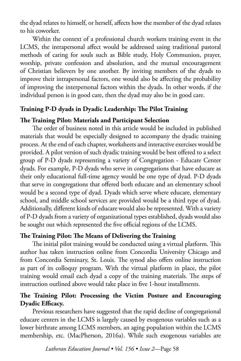the dyad relates to himself, or herself, affects how the member of the dyad relates to his coworker.

Within the context of a professional church workers training event in the LCMS, the intrapersonal affect would be addressed using traditional pastoral methods of caring for souls such as Bible study, Holy Communion, prayer, worship, private confession and absolution, and the mutual encouragement of Christian believers by one another. By inviting members of the dyads to improve their intrapersonal factors, one would also be affecting the probability of improving the interpersonal factors within the dyads. In other words, if the individual person is in good care, then the dyad may also be in good care.

## **Training P-D dyads in Dyadic Leadership: The Pilot Training**

## **The Training Pilot: Materials and Participant Selection**

The order of business noted in this article would be included in published materials that would be especially designed to accompany the dyadic training process. At the end of each chapter, worksheets and interactive exercises would be provided. A pilot version of such dyadic training would be best offered to a select group of P-D dyads representing a variety of Congregation - Educare Center dyads. For example, P-D dyads who serve in congregations that have educare as their only educational full-time agency would be one type of dyad. P-D dyads that serve in congregations that offered both educare and an elementary school would be a second type of dyad. Dyads which serve where educare, elementary school, and middle school services are provided would be a third type of dyad. Additionally, different kinds of educare would also be represented. With a variety of P-D dyads from a variety of organizational types established, dyads would also be sought out which represented the five official regions of the LCMS.

## **The Training Pilot: The Means of Delivering the Training**

The initial pilot training would be conducted using a virtual platform. This author has taken instruction online from Concordia University Chicago and from Concordia Seminary, St. Louis. The synod also offers online instruction as part of its colloquy program. With the virtual platform in place, the pilot training would email each dyad a copy of the training materials. The steps of instruction outlined above would take place in five 1-hour installments.

## **The Training Pilot: Processing the Victim Posture and Encouraging Dyadic Efficacy.**

Previous researchers have suggested that the rapid decline of congregational educare centers in the LCMS is largely caused by exogenous variables such as a lower birthrate among LCMS members, an aging population within the LCMS membership, etc. (MacPherson, 2016a). While such exogenous variables are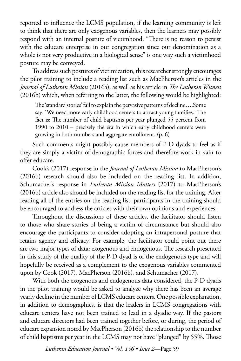reported to influence the LCMS population, if the learning community is left to think that there are only exogenous variables, then the learners may possibly respond with an internal posture of victimhood. "There is no reason to persist with the educare enterprise in our congregation since our denomination as a whole is not very productive in a biological sense" is one way such a victimhood posture may be conveyed.

To address such postures of victimization, this researcher strongly encourages the pilot training to include a reading list such as MacPherson's articles in the *Journal of Lutheran Mission* (2016a), as well as his article in *The Lutheran Witness*  (2016b) which, when referring to the latter, the following would be highlighted:

The 'standard stories' fail to explain the pervasive patterns of decline…,Some say: 'We need more early childhood centers to attract young families.' The fact is: The number of child baptisms per year plunged 55 percent from 1990 to 2010 – precisely the era in which early childhood centers were growing in both numbers and aggregate enrollment. (p. 6)

Such comments might possibly cause members of P-D dyads to feel as if they are simply a victim of demographic forces and therefore work in vain to offer educare.

Cook's (2017) response in the *Journal of Lutheran Mission* to MacPherson's (2016b) research should also be included on the reading list. In addition, Schumacher's response in *Lutheran Mission Matters* (2017) to MacPherson's (2016b) article also should be included on the reading list for the training. After reading all of the entries on the reading list, participants in the training should be encouraged to address the articles with their own opinions and experiences.

Throughout the discussions of these articles, the facilitator should listen to those who share stories of being a victim of circumstance but should also encourage the participants to consider adopting an intrapersonal posture that retains agency and efficacy. For example, the facilitator could point out there are two major types of data: exogenous and endogenous. The research presented in this study of the quality of the P-D dyad is of the endogenous type and will hopefully be received as a complement to the exogenous variables commented upon by Cook (2017), MacPherson (2016b), and Schumacher (2017).

With both the exogenous and endogenous data considered, the P-D dyads in the pilot training would be asked to analyze why there has been an average yearly decline in the number of LCMS educare centers. One possible explanation, in addition to demographics, is that the leaders in LCMS congregations with educare centers have not been trained to lead in a dyadic way. If the pastors and educare directors had been trained together before, or during, the period of educare expansion noted by MacPherson (2016b) the relationship to the number of child baptisms per year in the LCMS may not have "plunged" by 55%. Those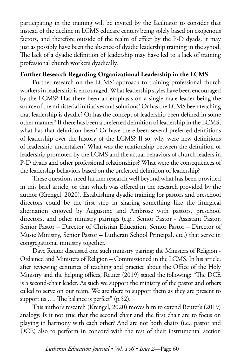participating in the training will be invited by the facilitator to consider that instead of the decline in LCMS educare centers being solely based on exogenous factors, and therefore outside of the realm of effect by the P-D dyads, it may just as possibly have been the absence of dyadic leadership training in the synod. The lack of a dyadic definition of leadership may have led to a lack of training professional church workers dyadically.

## **Further Research Regarding Organizational Leadership in the LCMS**

Further research on the LCMS' approach to training professional church workers in leadership is encouraged. What leadership styles have been encouraged by the LCMS? Has there been an emphasis on a single male leader being the source of the ministerial initiatives and solutions? Or has the LCMS been teaching that leadership is dyadic? Or has the concept of leadership been defined in some other manner? If there has been a preferred definition of leadership in the LCMS, what has that definition been? Or have there been several preferred definitions of leadership over the history of the LCMS? If so, why were new definitions of leadership undertaken? What was the relationship between the definition of leadership promoted by the LCMS and the actual behaviors of church leaders in P-D dyads and other professional relationships? What were the consequences of the leadership behaviors based on the preferred definition of leadership?

These questions need further research well beyond what has been provided in this brief article, or that which was offered in the research provided by the author (Krengel, 2020). Establishing dyadic training for pastors and preschool directors could be the first step in sharing something like the liturgical alternation enjoyed by Augustine and Ambrose with pastors, preschool directors, and other ministry pairings (e.g., Senior Pastor - Assistant Pastor, Senior Pastor – Director of Christian Education, Senior Pastor – Director of Music Ministry, Senior Pastor – Lutheran School Principal, etc.) that serve in congregational ministry together.

Dave Reuter discussed one such ministry pairing: the Ministers of Religion - Ordained and Ministers of Religion – Commissioned in the LCMS. In his article, after reviewing centuries of teaching and practice about the Office of the Holy Ministry and the helping offices, Reuter (2019) stated the following: "The DCE is a second-chair leader. As such we support the ministry of the pastor and others called to serve on our team. We are there to support them as they are present to support us  $\dots$  The balance is perfect" (p.52).

This author's research (Krengel, 2020) moves him to extend Reuter's (2019) analogy. Is it not true that the second chair and the first chair are to focus on playing in harmony with each other? And are not both chairs (i.e., pastor and DCE) also to perform in concord with the rest of their instrumental section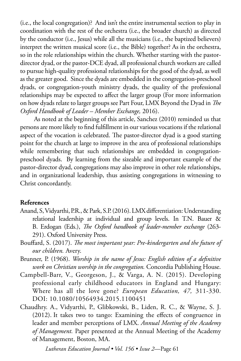(i.e., the local congregation)? And isn't the entire instrumental section to play in coordination with the rest of the orchestra (i.e., the broader church) as directed by the conductor (i.e., Jesus) while all the musicians (i.e., the baptized believers) interpret the written musical score (i.e., the Bible) together? As in the orchestra, so in the role relationships within the church. Whether starting with the pastordirector dyad, or the pastor-DCE dyad, all professional church workers are called to pursue high-quality professional relationships for the good of the dyad, as well as the greater good. Since the dyads are embedded in the congregation-preschool dyads, or congregation-youth ministry dyads, the quality of the professional relationships may be expected to affect the larger group (For more information on how dyads relate to larger groups see Part Four, LMX Beyond the Dyad in *The Oxford Handbook of Leader – Member Exchange,* 2016).

 As noted at the beginning of this article, Sanchez (2010) reminded us that persons are more likely to find fulfillment in our various vocations if the relational aspect of the vocation is celebrated. The pastor-director dyad is a good starting point for the church at large to improve in the area of professional relationships while remembering that such relationships are embedded in congregationpreschool dyads. By learning from the sizeable and important example of the pastor-director dyad, congregations may also improve in other role relationships, and in organizational leadership, thus assisting congregations in witnessing to Christ concordantly.

## **References**

- Anand, S, Vidyarthi, P.R., & Park, S.P. (2016). LMX differentiation: Understanding relational leadership at individual and group levels. In T.N. Bauer & B. Erdogan (Eds.), *The Oxford handbook of leader-member exchange* (263- 291). Oxford University Press.
- Bouffard, S. (2017). *The most important year: Pre-kindergarten and the future of our children.* Avery.
- Brunner, P. (1968). *Worship in the name of Jesus: English edition of a definitive work on Christian worship in the congregation.* Concordia Publishing House.
- Campbell-Barr, V., Georgeson, J., & Varga, A. N. (2015). Developing professional early childhood educators in England and Hungary: Where has all the love gone? *European Education, 47,* 311-330. DOI: 10.1080/10564934.2015.1100451
- Chaudhry. A., Vidyarthi, P., Glibkowski, B., Liden, R. C., & Wayne, S. J. (2012). It takes two to tango: Examining the effects of congruence in leader and member perceptions of LMX. *Annual Meeting of the Academy of Management.* Paper presented at the Annual Meeting of the Academy of Management, Boston, MA.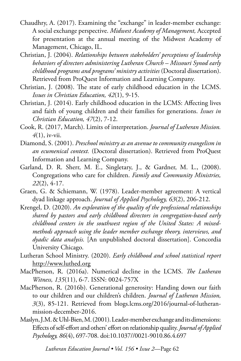- Chaudhry, A. (2017). Examining the "exchange" in leader-member exchange: A social exchange perspective. *Midwest Academy of Management,* Accepted for presentation at the annual meeting of the Midwest Academy of Management, Chicago, IL.
- Christian, J. (2004). *Relationships between stakeholders' perceptions of leadership behaviors of directors administering Lutheran Church – Missouri Synod early childhood programs and programs' ministry activities* (Doctoral dissertation). Retrieved from ProQuest Information and Learning Company.
- Christian, J. (2008). The state of early childhood education in the LCMS. *Issues in Christian Education, 42*(1), 9-15.
- Christian, J. (2014). Early childhood education in the LCMS: Affecting lives and faith of young children and their families for generations. *Issues in Christian Education, 47*(2), 7-12.
- Cook, R. (2017, March). Limits of interpretation. *Journal of Lutheran Mission. 4*(1), iv-vii.
- Diamond, S. (2001). *Preschool ministry as an avenue to community evangelism in an ecumenical context.* (Doctoral dissertation). Retrieved from ProQuest Information and Learning Company.
- Garland, D. R. Sherr, M. E., Singletary, J., & Gardner, M. L., (2008). Congregations who care for children. *Family and Community Ministries, 22*(2), 4-17.
- Graen, G. & Schiemann, W. (1978). Leader-member agreement: A vertical dyad linkage approach. *Journal of Applied Psychology, 63*(2), 206-212.
- Krengel, D. (2020). *An exploration of the quality of the professional relationships shared by pastors and early childhood directors in congregation-based early childhood centers in the southwest region of the United States: A mixedmethods approach using the leader member exchange theory, interviews, and dyadic data analysis.* [An unpublished doctoral dissertation]. Concordia University Chicago.
- Lutheran School Ministry. (2020). *Early childhood and school statistical report*  <http://www.luthed.org>
- MacPherson, R. (2016a). Numerical decline in the LCMS. *The Lutheran Witness, 135*(11), 6-7. ISSN: 0024-757X
- MacPherson, R. (2016b). Generational generosity: Handing down our faith to our children and our children's children. *Journal of Lutheran Mission, 3*(3), 85-121. Retrieved from blogs.lcms.org/2016/journal-of-lutheranmission-december-2016.
- Maslyn, J.M. & Uhl-Bien, M. (2001). Leader-member exchange and its dimensions: Effects of self-effort and others' effort on relationship quality. *Journal of Applied Psychology, 86*(4), 697-708. doi:10.1037//0021-9010.86.4.697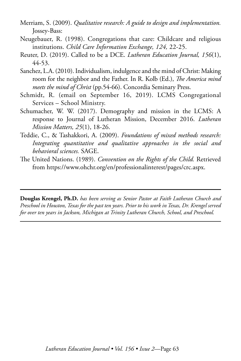- Merriam, S. (2009). *Qualitative research: A guide to design and implementation.*  Jossey-Bass:
- Neugebauer, R. (1998). Congregations that care: Childcare and religious institutions. *Child Care Information Exchange, 124,* 22-25.
- Reuter, D. (2019). Called to be a DCE. *Lutheran Education Journal, 156*(1), 44-53.
- Sanchez, L.A. (2010). Individualism, indulgence and the mind of Christ: Making room for the neighbor and the Father. In R. Kolb (Ed.), *The America mind meets the mind of Christ* (pp.54-66). Concordia Seminary Press.
- Schmidt, R. (email on September 16, 2019). LCMS Congregational Services – School Ministry.
- Schumacher, W. W. (2017). Demography and mission in the LCMS: A response to Journal of Lutheran Mission, December 2016. *Lutheran Mission Matters, 25*(1), 18-26.
- Teddie, C., & Tashakkori, A. (2009). *Foundations of mixed methods research: Integrating quantitative and qualitative approaches in the social and behavioral sciences.* SAGE.
- The United Nations. (1989). *Convention on the Rights of the Child.* Retrieved from https://www.ohchr.org/en/professionalinterest/pages/crc.aspx.

**Douglas Krengel, Ph.D.** *has been serving as Senior Pastor at Faith Lutheran Church and Preschool in Houston, Texas for the past ten years. Prior to his work in Texas, Dr. Krengel served for over ten years in Jackson, Michigan at Trinity Lutheran Church, School, and Preschool.*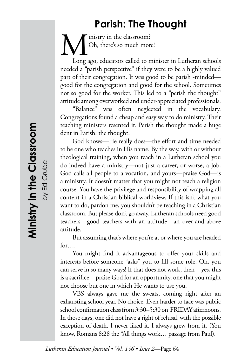# **Parish: The Thought**

inistry in the classroom? Oh, there's so much more!

Long ago, educators called to minister in Lutheran schools needed a "parish perspective" if they were to be a highly valued part of their congregation. It was good to be parish -minded good for the congregation and good for the school. Sometimes not so good for the worker. This led to a "perish the thought" attitude among overworked and under-appreciated professionals.

"Balance" was often neglected in the vocabulary. Congregations found a cheap and easy way to do ministry. Their teaching ministers resented it. Perish the thought made a huge dent in Parish: the thought.

God knows—He really does—the effort and time needed to be one who teaches in His name. By the way, with or without theological training, when you teach in a Lutheran school you do indeed have a ministry—not just a career, or worse, a job. God calls all people to a vocation, and yours—praise God—is a ministry. It doesn't matter that you might not teach a religion course. You have the privilege and responsibility of wrapping all content in a Christian biblical worldview. If this isn't what you want to do, pardon me, you shouldn't be teaching in a Christian classroom. But please don't go away. Lutheran schools need good teachers—good teachers with an attitude—an over-and-above attitude.

But assuming that's where you're at or where you are headed for….

You might find it advantageous to offer your skills and interests before someone "asks" you to fill some role. Oh, you can serve in so many ways! If that does not work, then—yes, this is a sacrifice—praise God for an opportunity, one that you might not choose but one in which He wants to use you.

VBS always gave me the sweats, coming right after an exhausting school year. No choice. Even harder to face was public school confirmation class from 3:30–5:30 on FRIDAY afternoons. In those days, one did not have a right of refusal, with the possible exception of death. I never liked it. I always grew from it. (You know, Romans 8:28 the "All things work… passage from Paul).

by Ed Grube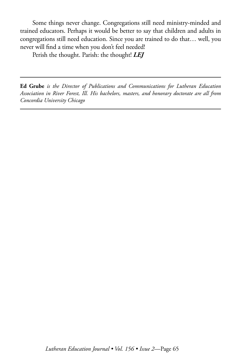Some things never change. Congregations still need ministry-minded and trained educators. Perhaps it would be better to say that children and adults in congregations still need education. Since you are trained to do that… well, you never will find a time when you don't feel needed!

Perish the thought. Parish: the thought! *LEJ*

**Ed Grube** *is the Director of Publications and Communications for Lutheran Education Association in River Forest, Ill. His bachelors, masters, and honorary doctorate are all from Concordia University Chicago*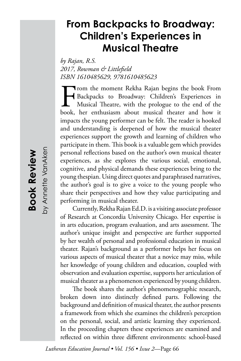# **From Backpacks to Broadway: Children's Experiences in Musical Theatre**

*by Rajan, R.S. 2017, Rowman & Littlefield ISBN 1610485629, 9781610485623*

From the moment Rekha Rajan begins the book From<br>Backpacks to Broadway: Children's Experiences in<br>Musical Theatre, with the prologue to the end of the<br>book, her enthusiasm about musical theater and how it Backpacks to Broadway: Children's Experiences in Musical Theatre, with the prologue to the end of the book, her enthusiasm about musical theater and how it impacts the young performer can be felt. The reader is hooked and understanding is deepened of how the musical theater experiences support the growth and learning of children who participate in them. This book is a valuable gem which provides personal reflections based on the author's own musical theater experiences, as she explores the various social, emotional, cognitive, and physical demands these experiences bring to the young thespian. Using direct quotes and paraphrased narratives, the author's goal is to give a voice to the young people who share their perspectives and how they value participating and performing in musical theater.

Currently, Rekha Rajan Ed.D. is a visiting associate professor of Research at Concordia University Chicago. Her expertise is in arts education, program evaluation, and arts assessment. The author's unique insight and perspective are further supported by her wealth of personal and professional education in musical theater. Rajan's background as a performer helps her focus on various aspects of musical theater that a novice may miss, while her knowledge of young children and education, coupled with observation and evaluation expertise, supports her articulation of musical theater as a phenomenon experienced by young children.

The book shares the author's phenomenographic research, broken down into distinctly defined parts. Following the background and definition of musical theater, the author presents a framework from which she examines the children's perception on the personal, social, and artistic learning they experienced. In the proceeding chapters these experiences are examined and reflected on within three different environments: school-based

*Lutheran Education Journal • Vol. 156 • Issue 2*—Page 66

by Annette VanAken by Annette VanAken**Book Review Book Review**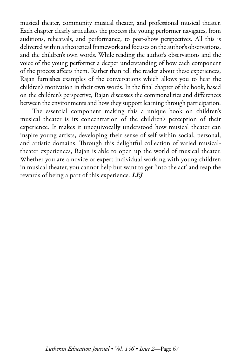musical theater, community musical theater, and professional musical theater. Each chapter clearly articulates the process the young performer navigates, from auditions, rehearsals, and performance, to post-show perspectives. All this is delivered within a theoretical framework and focuses on the author's observations, and the children's own words. While reading the author's observations and the voice of the young performer a deeper understanding of how each component of the process affects them. Rather than tell the reader about these experiences, Rajan furnishes examples of the conversations which allows you to hear the children's motivation in their own words. In the final chapter of the book, based on the children's perspective, Rajan discusses the commonalities and differences between the environments and how they support learning through participation.

The essential component making this a unique book on children's musical theater is its concentration of the children's perception of their experience. It makes it unequivocally understood how musical theater can inspire young artists, developing their sense of self within social, personal, and artistic domains. Through this delightful collection of varied musicaltheater experiences, Rajan is able to open up the world of musical theater. Whether you are a novice or expert individual working with young children in musical theater, you cannot help but want to get 'into the act' and reap the rewards of being a part of this experience. *LEJ*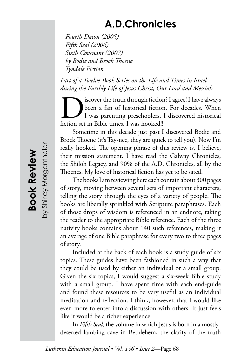# **A.D.Chronicles**

 *Fourth Dawn (2005) Fifth Seal (2006) Sixth Covenant (2007) by Bodie and Brock Thoene Tyndale Fiction*

*Part of a Twelve-Book Series on the Life and Times in Israel during the Earthly Life of Jesus Christ, Our Lord and Messiah*

Siscover the truth through fiction? I agree! I have always<br>been a fan of historical fiction. For decades. When<br>fiction set in Bible times. I was hooked!! been a fan of historical fiction. For decades. When I was parenting preschoolers, I discovered historical fiction set in Bible times. I was hooked!!

Sometime in this decade just past I discovered Bodie and Brock Thoene (it's Tay-nee, they are quick to tell you). Now I'm really hooked. The opening phrase of this review is, I believe, their mission statement. I have read the Galway Chronicles, the Shiloh Legacy, and 90% of the A.D. Chronicles, all by the Thoenes. My love of historical fiction has yet to be sated.

The books I am reviewing here each contain about 300 pages of story, moving between several sets of important characters, telling the story through the eyes of a variety of people. The books are liberally sprinkled with Scripture paraphrases. Each of those drops of wisdom is referenced in an endnote, taking the reader to the appropriate Bible reference. Each of the three nativity books contains about 140 such references, making it an average of one Bible paraphrase for every two to three pages of story.

Included at the back of each book is a study guide of six topics. These guides have been fashioned in such a way that they could be used by either an individual or a small group. Given the six topics, I would suggest a six-week Bible study with a small group. I have spent time with each end-guide and found these resources to be very useful as an individual meditation and reflection. I think, however, that I would like even more to enter into a discussion with others. It just feels like it would be a richer experience.

In *Fifth Seal,* the volume in which Jesus is born in a mostlydeserted lambing cave in Bethlehem, the clarity of the truth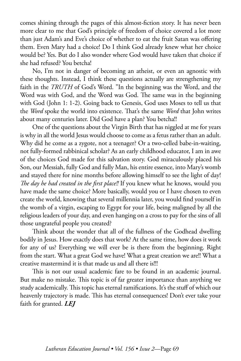comes shining through the pages of this almost-fiction story. It has never been more clear to me that God's principle of freedom of choice covered a lot more than just Adam's and Eve's choice of whether to eat the fruit Satan was offering them. Even Mary had a choice! Do I think God already knew what her choice would be? Yes. But do I also wonder where God would have taken that choice if she had refused? You betcha!

No, I'm not in danger of becoming an atheist, or even an agnostic with these thoughts. Instead, I think these questions actually are strengthening my faith in the *TRUTH* of God's Word. "In the beginning was the Word, and the Word was with God, and the Word was God. The same was in the beginning with God (John 1: 1-2). Going back to Genesis, God uses Moses to tell us that the *Word* spoke the world into existence. That's the same *Word* that John writes about many centuries later. Did God have a plan? You betcha!!

One of the questions about the Virgin Birth that has niggled at me for years is why in all the world Jesus would choose to come as a fetus rather than an adult. Why did he come as a zygote, not a teenager? Or a two-celled babe-in-waiting, not fully-formed rabbinical scholar? As an early childhood educator, I am in awe of the choices God made for this salvation story. God miraculously placed his Son, our Messiah, fully God and fully Man, his entire essence, into Mary's womb and stayed there for nine months before allowing himself to see the light of day! *The day he had created in the first place!!* If you knew what he knows, would you have made the same choice? More basically, would you or I have chosen to even create the world, knowing that several millennia later, you would find yourself in the womb of a virgin, escaping to Egypt for your life, being maligned by all the religious leaders of your day, and even hanging on a cross to pay for the sins of all those ungrateful people you created?

Think about the wonder that all of the fullness of the Godhead dwelling bodily in Jesus. How exactly does that work? At the same time, how does it work for any of us? Everything we will ever be is there from the beginning. Right from the start. What a great God we have! What a great creation we are!! What a creative mastermind it is that made us and all there is!!!

This is not our usual academic fare to be found in an academic journal. But make no mistake. This topic is of far greater importance than anything we study academically. This topic has eternal ramifications. It's the stuff of which our heavenly trajectory is made. This has eternal consequences! Don't ever take your faith for granted. *LEJ*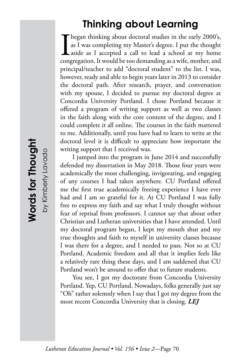# **Thinking about Learning**

**I** began thinking about doctoral studies in the early 2000's, as I was completing my Master's degree. I put the thought aside as I accepted a call to lead a school at my home congregation. It would be too demanding as a w as I was completing my Master's degree. I put the thought aside as I accepted a call to lead a school at my home congregation. It would be too demanding as a wife, mother, and principal/teacher to add "doctoral student" to the list. I was, however, ready and able to begin years later in 2013 to consider the doctoral path. After research, prayer, and conversation with my spouse, I decided to pursue my doctoral degree at Concordia University Portland. I chose Portland because it offered a program of writing support as well as two classes in the faith along with the core content of the degree, and I could complete it all online. The courses in the faith mattered to me. Additionally, until you have had to learn to write at the doctoral level it is difficult to appreciate how important the writing support that I received was.

I jumped into the program in June 2014 and successfully defended my dissertation in May 2018. Those four years were academically the most challenging, invigorating, and engaging of any courses I had taken anywhere. CU Portland offered me the first true academically freeing experience I have ever had and I am so grateful for it. At CU Portland I was fully free to express my faith and say what I truly thought without fear of reprisal from professors. I cannot say that about other Christian and Lutheran universities that I have attended. Until my doctoral program began, I kept my mouth shut and my true thoughts and faith to myself in university classes because I was there for a degree, and I needed to pass. Not so at CU Portland. Academic freedom and all that it implies feels like a relatively rare thing these days, and I am saddened that CU Portland won't be around to offer that to future students.

You see, I got my doctorate from Concordia University Portland. Yep, CU Portland. Nowadays, folks generally just say "Oh" rather solemnly when I say that I got my degree from the most recent Concordia University that is closing. *LEJ*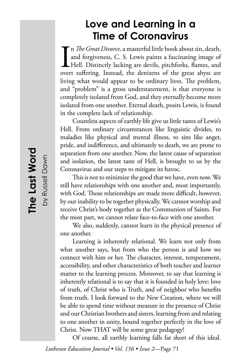# **Love and Learning in a Time of Coronavirus**

I<br>over n *The Great Divorce,* a masterful little book about sin, death, and forgiveness, C. S. Lewis paints a fascinating image of Hell. Distinctly lacking are devils, pitchforks, flames, and overt suffering. Instead, the denizens of the great abyss are living what would appear to be ordinary lives. The problem, and "problem" is a gross understatement, is that everyone is completely isolated from God, and they eternally become more isolated from one another. Eternal death, posits Lewis, is found in the complete lack of relationship.

Countless aspects of earthly life give us little tastes of Lewis's Hell. From ordinary circumstances like linguistic divides, to maladies like physical and mental illness, to sins like anger, pride, and indifference, and ultimately to death, we are prone to separation from one another. Now, the latest cause of separation and isolation, the latest taste of Hell, is brought to us by the Coronavirus and our steps to mitigate its havoc.

This is not to minimize the good that we have, even now. We still have relationships with one another and, most importantly, with God. Those relationships are made more difficult, however, by our inability to be together physically. We cannot worship and receive Christ's body together as the Communion of Saints. For the most part, we cannot relate face-to-face with one another.

We also, suddenly, cannot learn in the physical presence of one another.

Learning is inherently relational. We learn not only from what another says, but from who the person is and how we connect with him or her. The character, interest, temperament, accessibility, and other characteristics of both teacher and learner matter to the learning process. Moreover, to say that learning is inherently relational is to say that it is founded in holy love: love of truth, of Christ who is Truth, and of neighbor who benefits from truth. I look forward to the New Creation, where we will be able to spend time without measure in the presence of Christ and our Christian brothers and sisters, learning from and relating to one another in unity, bound together perfectly in the love of Christ. Now THAT will be some great pedagogy!

Of course, all earthly learning falls far short of this ideal.